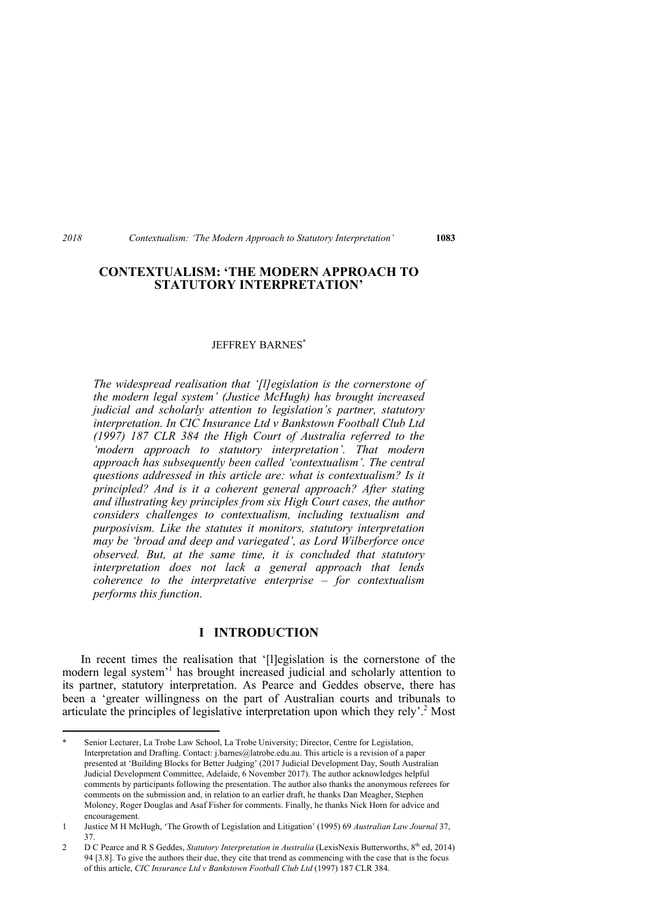## **CONTEXTUALISM: 'THE MODERN APPROACH TO STATUTORY INTERPRETATION'**

#### JEFFREY BARNES\*

*The widespread realisation that '[l]egislation is the cornerstone of the modern legal system' (Justice McHugh) has brought increased judicial and scholarly attention to legislation's partner, statutory interpretation. In CIC Insurance Ltd v Bankstown Football Club Ltd (1997) 187 CLR 384 the High Court of Australia referred to the 'modern approach to statutory interpretation'. That modern approach has subsequently been called 'contextualism'. The central questions addressed in this article are: what is contextualism? Is it principled? And is it a coherent general approach? After stating and illustrating key principles from six High Court cases, the author considers challenges to contextualism, including textualism and purposivism. Like the statutes it monitors, statutory interpretation may be 'broad and deep and variegated', as Lord Wilberforce once observed. But, at the same time, it is concluded that statutory interpretation does not lack a general approach that lends coherence to the interpretative enterprise – for contextualism performs this function.* 

### **I INTRODUCTION**

In recent times the realisation that '[l]egislation is the cornerstone of the modern legal system<sup>'1</sup> has brought increased judicial and scholarly attention to its partner, statutory interpretation. As Pearce and Geddes observe, there has been a 'greater willingness on the part of Australian courts and tribunals to articulate the principles of legislative interpretation upon which they rely'.<sup>2</sup> Most

Senior Lecturer, La Trobe Law School, La Trobe University; Director, Centre for Legislation, Interpretation and Drafting. Contact: j.barnes@latrobe.edu.au. This article is a revision of a paper presented at 'Building Blocks for Better Judging' (2017 Judicial Development Day, South Australian Judicial Development Committee, Adelaide, 6 November 2017). The author acknowledges helpful comments by participants following the presentation. The author also thanks the anonymous referees for comments on the submission and, in relation to an earlier draft, he thanks Dan Meagher, Stephen Moloney, Roger Douglas and Asaf Fisher for comments. Finally, he thanks Nick Horn for advice and encouragement.

<sup>1</sup> Justice M H McHugh, 'The Growth of Legislation and Litigation' (1995) 69 *Australian Law Journal* 37, 37.

<sup>2</sup> D C Pearce and R S Geddes, *Statutory Interpretation in Australia* (LexisNexis Butterworths, 8<sup>th</sup> ed, 2014) 94 [3.8]. To give the authors their due, they cite that trend as commencing with the case that is the focus of this article, *CIC Insurance Ltd v Bankstown Football Club Ltd* (1997) 187 CLR 384.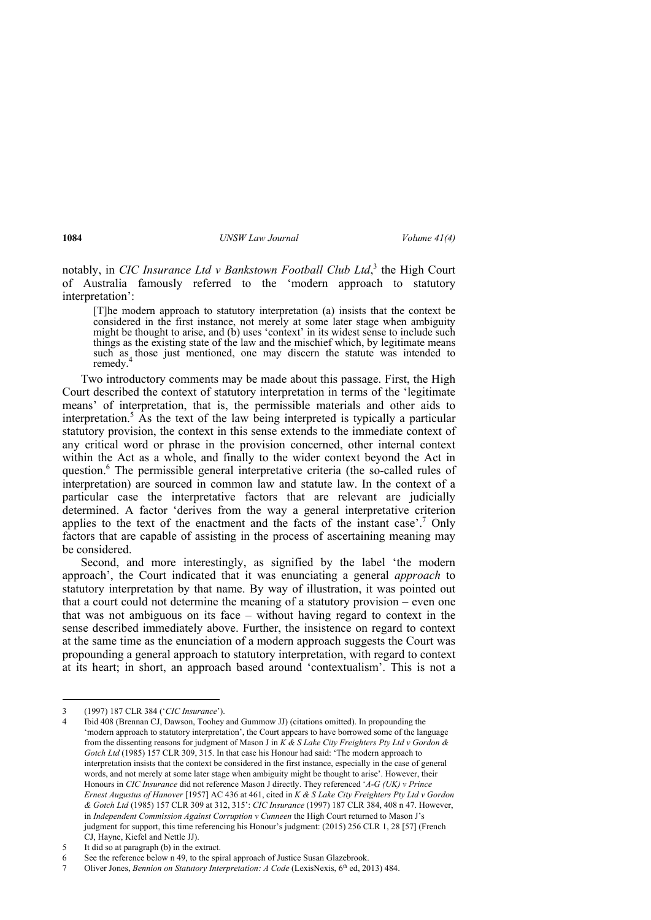notably, in *CIC Insurance Ltd v Bankstown Football Club Ltd*, <sup>3</sup> the High Court of Australia famously referred to the 'modern approach to statutory interpretation':

[T]he modern approach to statutory interpretation (a) insists that the context be considered in the first instance, not merely at some later stage when ambiguity might be thought to arise, and (b) uses 'context' in its widest sense to include such things as the existing state of the law and the mischief which, by legitimate means such as those just mentioned, one may discern the statute was intended to remedy.

Two introductory comments may be made about this passage. First, the High Court described the context of statutory interpretation in terms of the 'legitimate means' of interpretation, that is, the permissible materials and other aids to interpretation.5 As the text of the law being interpreted is typically a particular statutory provision, the context in this sense extends to the immediate context of any critical word or phrase in the provision concerned, other internal context within the Act as a whole, and finally to the wider context beyond the Act in question.6 The permissible general interpretative criteria (the so-called rules of interpretation) are sourced in common law and statute law. In the context of a particular case the interpretative factors that are relevant are judicially determined. A factor 'derives from the way a general interpretative criterion applies to the text of the enactment and the facts of the instant case'.<sup>7</sup> Only factors that are capable of assisting in the process of ascertaining meaning may be considered.

Second, and more interestingly, as signified by the label 'the modern approach', the Court indicated that it was enunciating a general *approach* to statutory interpretation by that name. By way of illustration, it was pointed out that a court could not determine the meaning of a statutory provision – even one that was not ambiguous on its face – without having regard to context in the sense described immediately above. Further, the insistence on regard to context at the same time as the enunciation of a modern approach suggests the Court was propounding a general approach to statutory interpretation, with regard to context at its heart; in short, an approach based around 'contextualism'. This is not a

5 It did so at paragraph (b) in the extract.

 3 (1997) 187 CLR 384 ('*CIC Insurance*').

<sup>4</sup> Ibid 408 (Brennan CJ, Dawson, Toohey and Gummow JJ) (citations omitted). In propounding the 'modern approach to statutory interpretation', the Court appears to have borrowed some of the language from the dissenting reasons for judgment of Mason J in *K & S Lake City Freighters Pty Ltd v Gordon & Gotch Ltd* (1985) 157 CLR 309, 315. In that case his Honour had said: 'The modern approach to interpretation insists that the context be considered in the first instance, especially in the case of general words, and not merely at some later stage when ambiguity might be thought to arise'. However, their Honours in *CIC Insurance* did not reference Mason J directly. They referenced '*A-G (UK) v Prince Ernest Augustus of Hanover* [1957] AC 436 at 461, cited in *K & S Lake City Freighters Pty Ltd v Gordon & Gotch Ltd* (1985) 157 CLR 309 at 312, 315': *CIC Insurance* (1997) 187 CLR 384, 408 n 47. However, in *Independent Commission Against Corruption v Cunneen* the High Court returned to Mason J's judgment for support, this time referencing his Honour's judgment: (2015) 256 CLR 1, 28 [57] (French CJ, Hayne, Kiefel and Nettle JJ).

<sup>6</sup> See the reference below n 49, to the spiral approach of Justice Susan Glazebrook.

<sup>7</sup> Oliver Jones, *Bennion on Statutory Interpretation: A Code* (LexisNexis, 6<sup>th</sup> ed, 2013) 484.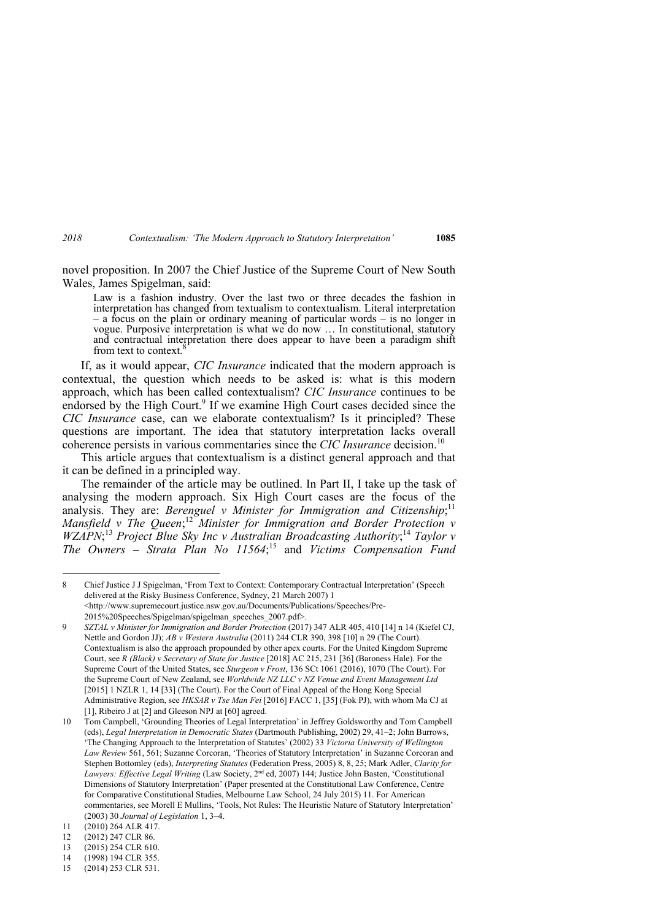novel proposition. In 2007 the Chief Justice of the Supreme Court of New South Wales, James Spigelman, said:

Law is a fashion industry. Over the last two or three decades the fashion in interpretation has changed from textualism to contextualism. Literal interpretation – a focus on the plain or ordinary meaning of particular words – is no longer in vogue. Purposive interpretation is what we do now … In constitutional, statutory and contractual interpretation there does appear to have been a paradigm shift from text to context.

If, as it would appear, *CIC Insurance* indicated that the modern approach is contextual, the question which needs to be asked is: what is this modern approach, which has been called contextualism? *CIC Insurance* continues to be endorsed by the High Court.<sup>9</sup> If we examine High Court cases decided since the *CIC Insurance* case, can we elaborate contextualism? Is it principled? These questions are important. The idea that statutory interpretation lacks overall coherence persists in various commentaries since the *CIC Insurance* decision.<sup>10</sup>

This article argues that contextualism is a distinct general approach and that it can be defined in a principled way.

The remainder of the article may be outlined. In Part II, I take up the task of analysing the modern approach. Six High Court cases are the focus of the analysis. They are: *Berenguel v Minister for Immigration and Citizenship*;<sup>11</sup> *Mansfield v The Queen*; <sup>12</sup> *Minister for Immigration and Border Protection v WZAPN*<sup>,13</sup> *Project Blue Sky Inc v Australian Broadcasting Authority*;<sup>14</sup> *Taylor v The Owners – Strata Plan No 11564*; 15 and *Victims Compensation Fund* 

8 Chief Justice J J Spigelman, 'From Text to Context: Contemporary Contractual Interpretation' (Speech delivered at the Risky Business Conference, Sydney, 21 March 2007) 1 <http://www.supremecourt.justice.nsw.gov.au/Documents/Publications/Speeches/Pre-2015%20Speeches/Spigelman/spigelman\_speeches\_2007.pdf>.

9 *SZTAL v Minister for Immigration and Border Protection* (2017) 347 ALR 405, 410 [14] n 14 (Kiefel CJ, Nettle and Gordon JJ); *AB v Western Australia* (2011) 244 CLR 390, 398 [10] n 29 (The Court). Contextualism is also the approach propounded by other apex courts. For the United Kingdom Supreme Court, see *R (Black) v Secretary of State for Justice* [2018] AC 215, 231 [36] (Baroness Hale). For the Supreme Court of the United States, see *Sturgeon v Frost*, 136 SCt 1061 (2016), 1070 (The Court). For the Supreme Court of New Zealand, see *Worldwide NZ LLC v NZ Venue and Event Management Ltd* [2015] 1 NZLR 1, 14 [33] (The Court). For the Court of Final Appeal of the Hong Kong Special Administrative Region, see *HKSAR v Tse Man Fei* [2016] FACC 1, [35] (Fok PJ), with whom Ma CJ at [1], Ribeiro J at [2] and Gleeson NPJ at [60] agreed.

10 Tom Campbell, 'Grounding Theories of Legal Interpretation' in Jeffrey Goldsworthy and Tom Campbell (eds), *Legal Interpretation in Democratic States* (Dartmouth Publishing, 2002) 29, 41–2; John Burrows, 'The Changing Approach to the Interpretation of Statutes' (2002) 33 *Victoria University of Wellington Law Review* 561, 561; Suzanne Corcoran, 'Theories of Statutory Interpretation' in Suzanne Corcoran and Stephen Bottomley (eds), *Interpreting Statutes* (Federation Press, 2005) 8, 8, 25; Mark Adler, *Clarity for*  Lawyers: Effective Legal Writing (Law Society, 2<sup>nd</sup> ed, 2007) 144; Justice John Basten, 'Constitutional Dimensions of Statutory Interpretation' (Paper presented at the Constitutional Law Conference, Centre for Comparative Constitutional Studies, Melbourne Law School, 24 July 2015) 11. For American commentaries, see Morell E Mullins, 'Tools, Not Rules: The Heuristic Nature of Statutory Interpretation' (2003) 30 *Journal of Legislation* 1, 3–4.

<sup>11 (2010) 264</sup> ALR 417.

<sup>12 (2012) 247</sup> CLR 86.

<sup>13 (2015) 254</sup> CLR 610.

<sup>14 (1998) 194</sup> CLR 355.

<sup>15 (2014) 253</sup> CLR 531.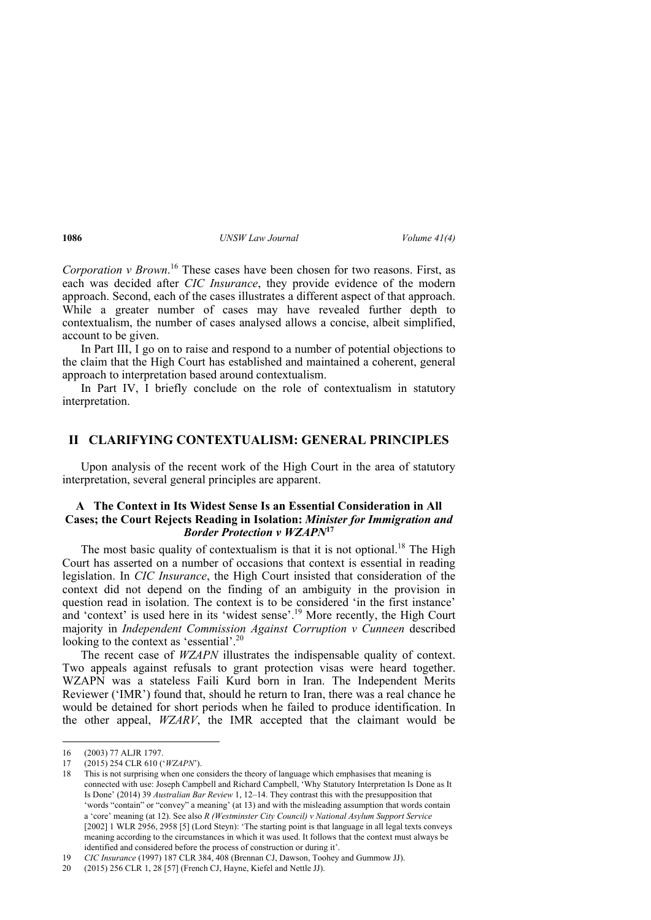*Corporation v Brown*. <sup>16</sup> These cases have been chosen for two reasons. First, as each was decided after *CIC Insurance*, they provide evidence of the modern approach. Second, each of the cases illustrates a different aspect of that approach. While a greater number of cases may have revealed further depth to contextualism, the number of cases analysed allows a concise, albeit simplified, account to be given.

In Part III, I go on to raise and respond to a number of potential objections to the claim that the High Court has established and maintained a coherent, general approach to interpretation based around contextualism.

In Part IV, I briefly conclude on the role of contextualism in statutory interpretation.

### **II CLARIFYING CONTEXTUALISM: GENERAL PRINCIPLES**

Upon analysis of the recent work of the High Court in the area of statutory interpretation, several general principles are apparent.

### **A The Context in Its Widest Sense Is an Essential Consideration in All Cases; the Court Rejects Reading in Isolation:** *Minister for Immigration and Border Protection v WZAPN***<sup>17</sup>**

The most basic quality of contextualism is that it is not optional.<sup>18</sup> The High Court has asserted on a number of occasions that context is essential in reading legislation. In *CIC Insurance*, the High Court insisted that consideration of the context did not depend on the finding of an ambiguity in the provision in question read in isolation. The context is to be considered 'in the first instance' and 'context' is used here in its 'widest sense'.19 More recently, the High Court majority in *Independent Commission Against Corruption v Cunneen* described looking to the context as 'essential'.<sup>20</sup>

The recent case of *WZAPN* illustrates the indispensable quality of context. Two appeals against refusals to grant protection visas were heard together. WZAPN was a stateless Faili Kurd born in Iran. The Independent Merits Reviewer ('IMR') found that, should he return to Iran, there was a real chance he would be detained for short periods when he failed to produce identification. In the other appeal, *WZARV*, the IMR accepted that the claimant would be

<sup>16 (2003) 77</sup> ALJR 1797.

<sup>17 (2015) 254</sup> CLR 610 ('*WZAPN*').

<sup>18</sup> This is not surprising when one considers the theory of language which emphasises that meaning is connected with use: Joseph Campbell and Richard Campbell, 'Why Statutory Interpretation Is Done as It Is Done' (2014) 39 *Australian Bar Review* 1, 12–14. They contrast this with the presupposition that 'words "contain" or "convey" a meaning' (at 13) and with the misleading assumption that words contain a 'core' meaning (at 12). See also *R (Westminster City Council) v National Asylum Support Service* [2002] 1 WLR 2956, 2958 [5] (Lord Steyn): 'The starting point is that language in all legal texts conveys meaning according to the circumstances in which it was used. It follows that the context must always be identified and considered before the process of construction or during it'.

<sup>19</sup> *CIC Insurance* (1997) 187 CLR 384, 408 (Brennan CJ, Dawson, Toohey and Gummow JJ).

<sup>20 (2015) 256</sup> CLR 1, 28 [57] (French CJ, Hayne, Kiefel and Nettle JJ).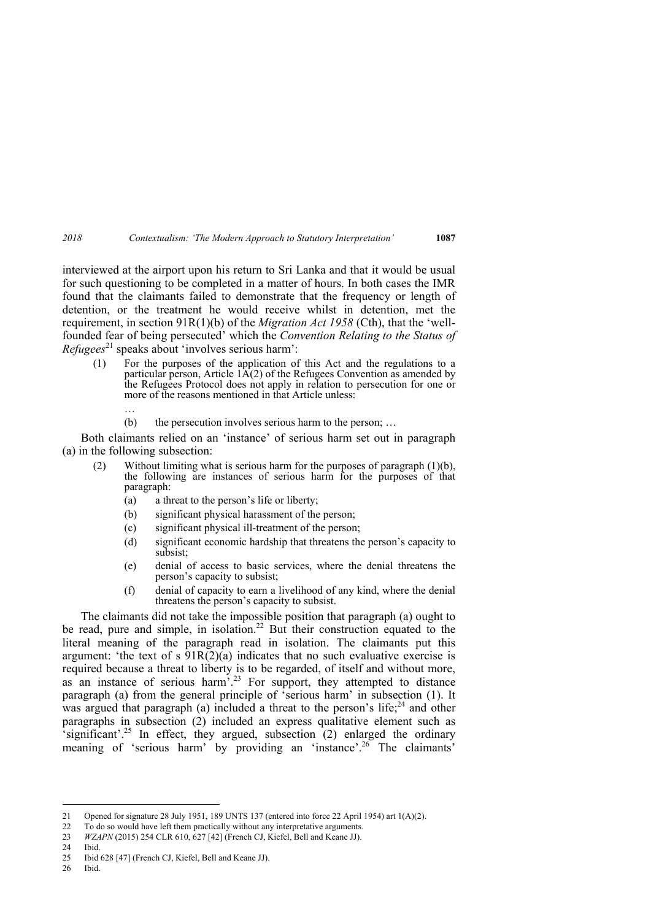interviewed at the airport upon his return to Sri Lanka and that it would be usual for such questioning to be completed in a matter of hours. In both cases the IMR found that the claimants failed to demonstrate that the frequency or length of detention, or the treatment he would receive whilst in detention, met the requirement, in section 91R(1)(b) of the *Migration Act 1958* (Cth), that the 'wellfounded fear of being persecuted' which the *Convention Relating to the Status of Refugees*<sup>21</sup> speaks about 'involves serious harm':

- (1) For the purposes of the application of this Act and the regulations to a particular person, Article  $1A(2)$  of the Refugees Convention as amended by the Refugees Protocol does not apply in relation to persecution for one or more of the reasons mentioned in that Article unless:
	- (b) the persecution involves serious harm to the person; …

Both claimants relied on an 'instance' of serious harm set out in paragraph (a) in the following subsection:

- (2) Without limiting what is serious harm for the purposes of paragraph (1)(b), the following are instances of serious harm for the purposes of that paragraph:
	- (a) a threat to the person's life or liberty;
	- (b) significant physical harassment of the person;
	- (c) significant physical ill-treatment of the person;
	- (d) significant economic hardship that threatens the person's capacity to subsist;
	- (e) denial of access to basic services, where the denial threatens the person's capacity to subsist;
	- (f) denial of capacity to earn a livelihood of any kind, where the denial threatens the person's capacity to subsist.

The claimants did not take the impossible position that paragraph (a) ought to be read, pure and simple, in isolation.<sup>22</sup> But their construction equated to the literal meaning of the paragraph read in isolation. The claimants put this argument: 'the text of s  $91R(2)(a)$  indicates that no such evaluative exercise is required because a threat to liberty is to be regarded, of itself and without more, as an instance of serious harm<sup>5</sup>.<sup>23</sup> For support, they attempted to distance paragraph (a) from the general principle of 'serious harm' in subsection (1). It was argued that paragraph (a) included a threat to the person's life;  $24$  and other paragraphs in subsection (2) included an express qualitative element such as  $\epsilon$ significant'.<sup>25</sup> In effect, they argued, subsection (2) enlarged the ordinary meaning of 'serious harm' by providing an 'instance'.<sup>26</sup> The claimants'

26 Ibid.

…

<sup>21</sup> Opened for signature 28 July 1951, 189 UNTS 137 (entered into force 22 April 1954) art 1(A)(2).

<sup>22</sup> To do so would have left them practically without any interpretative arguments.

<sup>23</sup> *WZAPN* (2015) 254 CLR 610, 627 [42] (French CJ, Kiefel, Bell and Keane JJ).

<sup>24</sup> Ibid.

<sup>25</sup> Ibid 628 [47] (French CJ, Kiefel, Bell and Keane JJ).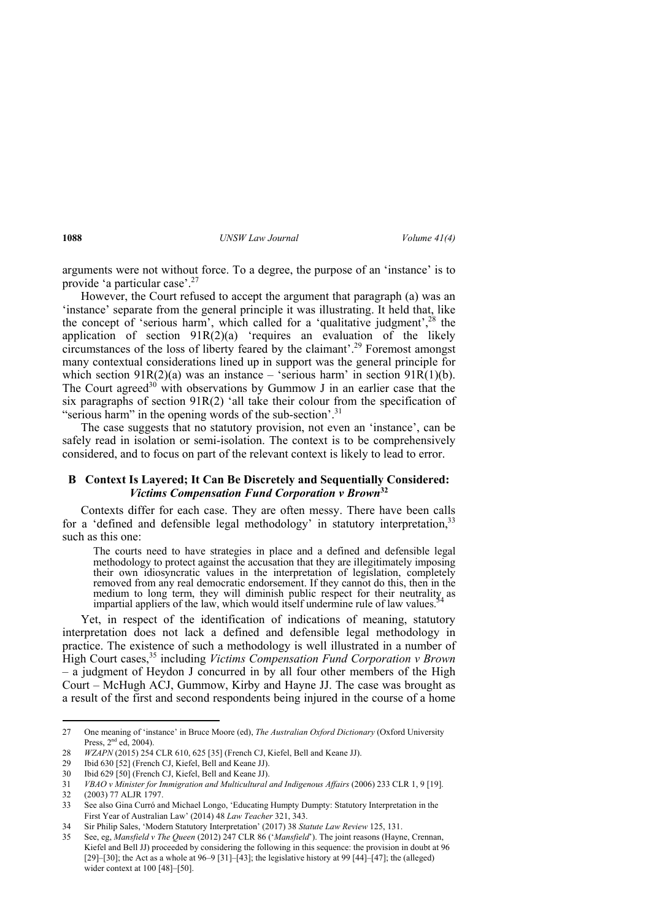arguments were not without force. To a degree, the purpose of an 'instance' is to provide 'a particular case'.27

However, the Court refused to accept the argument that paragraph (a) was an 'instance' separate from the general principle it was illustrating. It held that, like the concept of 'serious harm', which called for a 'qualitative judgment',  $28$  the application of section  $91R(2)(a)$  'requires an evaluation of the likely circumstances of the loss of liberty feared by the claimant'.29 Foremost amongst many contextual considerations lined up in support was the general principle for which section  $91R(2)(a)$  was an instance – 'serious harm' in section  $91R(1)(b)$ . The Court agreed<sup>30</sup> with observations by Gummow J in an earlier case that the six paragraphs of section  $91R(2)$  'all take their colour from the specification of "serious harm" in the opening words of the sub-section'.<sup>31</sup>

The case suggests that no statutory provision, not even an 'instance', can be safely read in isolation or semi-isolation. The context is to be comprehensively considered, and to focus on part of the relevant context is likely to lead to error.

#### **B Context Is Layered; It Can Be Discretely and Sequentially Considered:**  *Victims Compensation Fund Corporation v Brown***<sup>32</sup>**

Contexts differ for each case. They are often messy. There have been calls for a 'defined and defensible legal methodology' in statutory interpretation,  $33$ such as this one:

The courts need to have strategies in place and a defined and defensible legal methodology to protect against the accusation that they are illegitimately imposing their own idiosyncratic values in the interpretation of legislation, completely removed from any real democratic endorsement. If they cannot do this, then in the medium to long term, they will diminish public respect for their neutrality as impartial appliers of the law, which would itself undermine rule of law values.

Yet, in respect of the identification of indications of meaning, statutory interpretation does not lack a defined and defensible legal methodology in practice. The existence of such a methodology is well illustrated in a number of High Court cases,35 including *Victims Compensation Fund Corporation v Brown* – a judgment of Heydon J concurred in by all four other members of the High Court – McHugh ACJ, Gummow, Kirby and Hayne JJ. The case was brought as a result of the first and second respondents being injured in the course of a home

<sup>27</sup> One meaning of 'instance' in Bruce Moore (ed), *The Australian Oxford Dictionary* (Oxford University Press, 2nd ed, 2004).

<sup>28</sup> *WZAPN* (2015) 254 CLR 610, 625 [35] (French CJ, Kiefel, Bell and Keane JJ).

<sup>29</sup> Ibid 630 [52] (French CJ, Kiefel, Bell and Keane JJ).

<sup>30</sup> Ibid 629 [50] (French CJ, Kiefel, Bell and Keane JJ).

<sup>31</sup> *VBAO v Minister for Immigration and Multicultural and Indigenous Affairs* (2006) 233 CLR 1, 9 [19].

<sup>32 (2003) 77</sup> ALJR 1797.

<sup>33</sup> See also Gina Curró and Michael Longo, 'Educating Humpty Dumpty: Statutory Interpretation in the First Year of Australian Law' (2014) 48 *Law Teacher* 321, 343.

<sup>34</sup> Sir Philip Sales, 'Modern Statutory Interpretation' (2017) 38 *Statute Law Review* 125, 131.

<sup>35</sup> See, eg, *Mansfield v The Queen* (2012) 247 CLR 86 ('*Mansfield*'). The joint reasons (Hayne, Crennan, Kiefel and Bell JJ) proceeded by considering the following in this sequence: the provision in doubt at 96 [29]–[30]; the Act as a whole at  $96-9$  [31]–[43]; the legislative history at  $99$  [44]–[47]; the (alleged) wider context at 100 [48]–[50].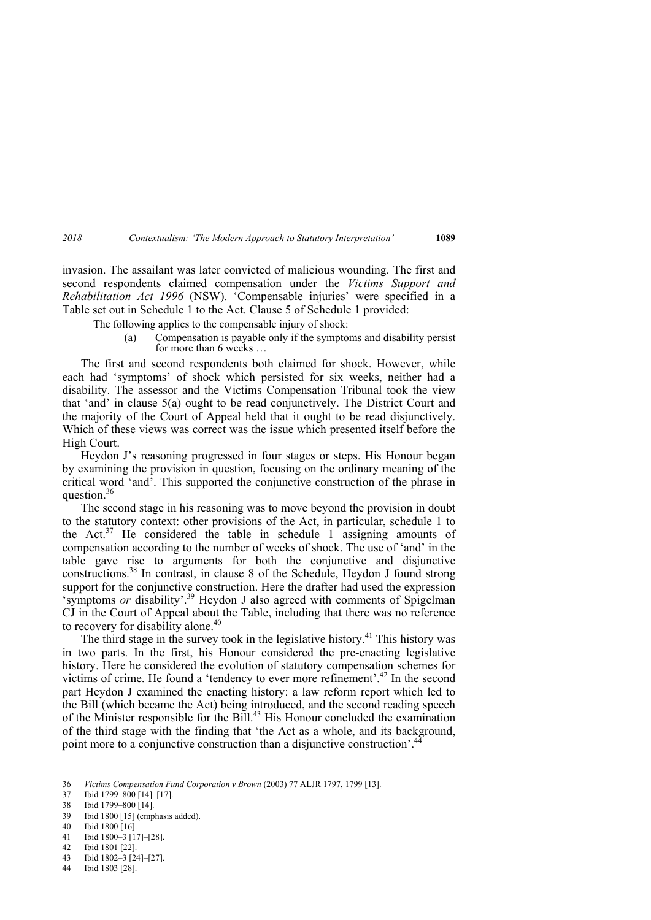invasion. The assailant was later convicted of malicious wounding. The first and second respondents claimed compensation under the *Victims Support and Rehabilitation Act 1996* (NSW). 'Compensable injuries' were specified in a Table set out in Schedule 1 to the Act. Clause 5 of Schedule 1 provided:

The following applies to the compensable injury of shock:

(a) Compensation is payable only if the symptoms and disability persist for more than 6 weeks …

The first and second respondents both claimed for shock. However, while each had 'symptoms' of shock which persisted for six weeks, neither had a disability. The assessor and the Victims Compensation Tribunal took the view that 'and' in clause 5(a) ought to be read conjunctively. The District Court and the majority of the Court of Appeal held that it ought to be read disjunctively. Which of these views was correct was the issue which presented itself before the High Court.

Heydon J's reasoning progressed in four stages or steps. His Honour began by examining the provision in question, focusing on the ordinary meaning of the critical word 'and'. This supported the conjunctive construction of the phrase in question.<sup>36</sup>

The second stage in his reasoning was to move beyond the provision in doubt to the statutory context: other provisions of the Act, in particular, schedule 1 to the Act. $37$  He considered the table in schedule 1 assigning amounts of compensation according to the number of weeks of shock. The use of 'and' in the table gave rise to arguments for both the conjunctive and disjunctive constructions.38 In contrast, in clause 8 of the Schedule, Heydon J found strong support for the conjunctive construction. Here the drafter had used the expression 'symptoms *or* disability'.<sup>39</sup> Heydon J also agreed with comments of Spigelman CJ in the Court of Appeal about the Table, including that there was no reference to recovery for disability alone.<sup>40</sup>

The third stage in the survey took in the legislative history.<sup>41</sup> This history was in two parts. In the first, his Honour considered the pre-enacting legislative history. Here he considered the evolution of statutory compensation schemes for victims of crime. He found a 'tendency to ever more refinement'.<sup>42</sup> In the second part Heydon J examined the enacting history: a law reform report which led to the Bill (which became the Act) being introduced, and the second reading speech of the Minister responsible for the Bill.<sup>43</sup> His Honour concluded the examination of the third stage with the finding that 'the Act as a whole, and its background, point more to a conjunctive construction than a disjunctive construction'.<sup>44</sup>

44 Ibid 1803 [28].

<sup>36</sup> *Victims Compensation Fund Corporation v Brown* (2003) 77 ALJR 1797, 1799 [13].

<sup>37</sup> Ibid 1799–800 [14]–[17].

<sup>38</sup> Ibid 1799–800 [14].

<sup>39</sup> Ibid 1800 [15] (emphasis added).

<sup>40</sup> Ibid 1800 [16].

<sup>41</sup> Ibid 1800–3 [17]–[28].

<sup>42</sup> Ibid 1801 [22].

<sup>43</sup> Ibid 1802–3 [24]–[27].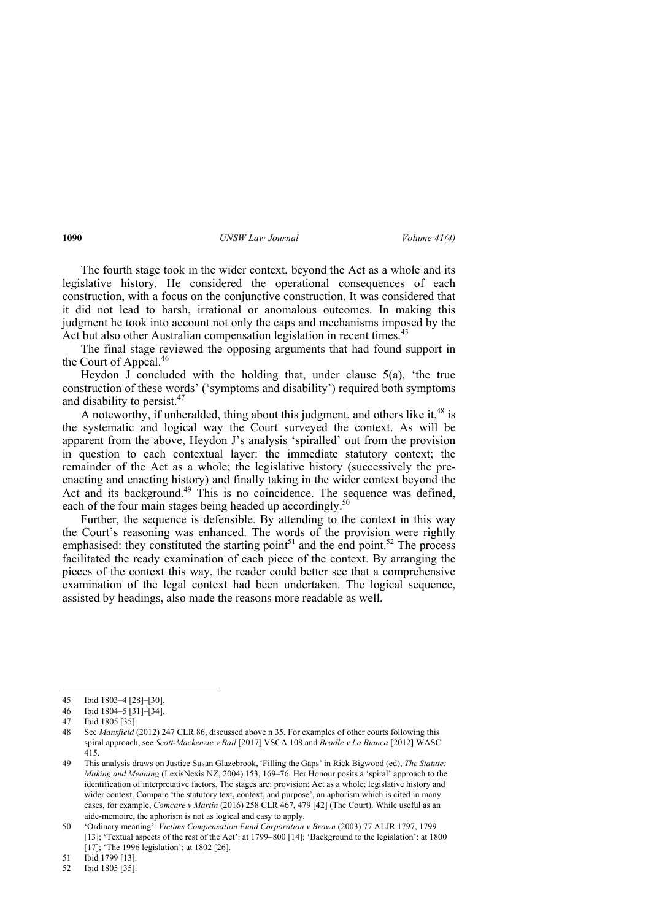The fourth stage took in the wider context, beyond the Act as a whole and its legislative history. He considered the operational consequences of each construction, with a focus on the conjunctive construction. It was considered that it did not lead to harsh, irrational or anomalous outcomes. In making this judgment he took into account not only the caps and mechanisms imposed by the Act but also other Australian compensation legislation in recent times.<sup>45</sup>

The final stage reviewed the opposing arguments that had found support in the Court of Appeal.<sup>46</sup>

Heydon J concluded with the holding that, under clause 5(a), 'the true construction of these words' ('symptoms and disability') required both symptoms and disability to persist. $47$ 

A noteworthy, if unheralded, thing about this judgment, and others like it,  $48$  is the systematic and logical way the Court surveyed the context. As will be apparent from the above, Heydon J's analysis 'spiralled' out from the provision in question to each contextual layer: the immediate statutory context; the remainder of the Act as a whole; the legislative history (successively the preenacting and enacting history) and finally taking in the wider context beyond the Act and its background.<sup>49</sup> This is no coincidence. The sequence was defined, each of the four main stages being headed up accordingly.<sup>50</sup>

Further, the sequence is defensible. By attending to the context in this way the Court's reasoning was enhanced. The words of the provision were rightly emphasised: they constituted the starting point<sup>51</sup> and the end point.<sup>52</sup> The process facilitated the ready examination of each piece of the context. By arranging the pieces of the context this way, the reader could better see that a comprehensive examination of the legal context had been undertaken. The logical sequence, assisted by headings, also made the reasons more readable as well.

51 Ibid 1799 [13].

52 Ibid 1805 [35].

<sup>45</sup> Ibid 1803–4 [28]–[30].

<sup>46</sup> Ibid 1804–5 [31]–[34].

<sup>47</sup> Ibid 1805 [35].

<sup>48</sup> See *Mansfield* (2012) 247 CLR 86, discussed above n 35. For examples of other courts following this spiral approach, see *Scott-Mackenzie v Bail* [2017] VSCA 108 and *Beadle v La Bianca* [2012] WASC 415.

<sup>49</sup> This analysis draws on Justice Susan Glazebrook, 'Filling the Gaps' in Rick Bigwood (ed), *The Statute: Making and Meaning* (LexisNexis NZ, 2004) 153, 169–76. Her Honour posits a 'spiral' approach to the identification of interpretative factors. The stages are: provision; Act as a whole; legislative history and wider context. Compare 'the statutory text, context, and purpose', an aphorism which is cited in many cases, for example, *Comcare v Martin* (2016) 258 CLR 467, 479 [42] (The Court). While useful as an aide-memoire, the aphorism is not as logical and easy to apply.

<sup>50 &#</sup>x27;Ordinary meaning': *Victims Compensation Fund Corporation v Brown* (2003) 77 ALJR 1797, 1799 [13]; 'Textual aspects of the rest of the Act': at 1799–800 [14]; 'Background to the legislation': at 1800 [17]; 'The 1996 legislation': at 1802 [26].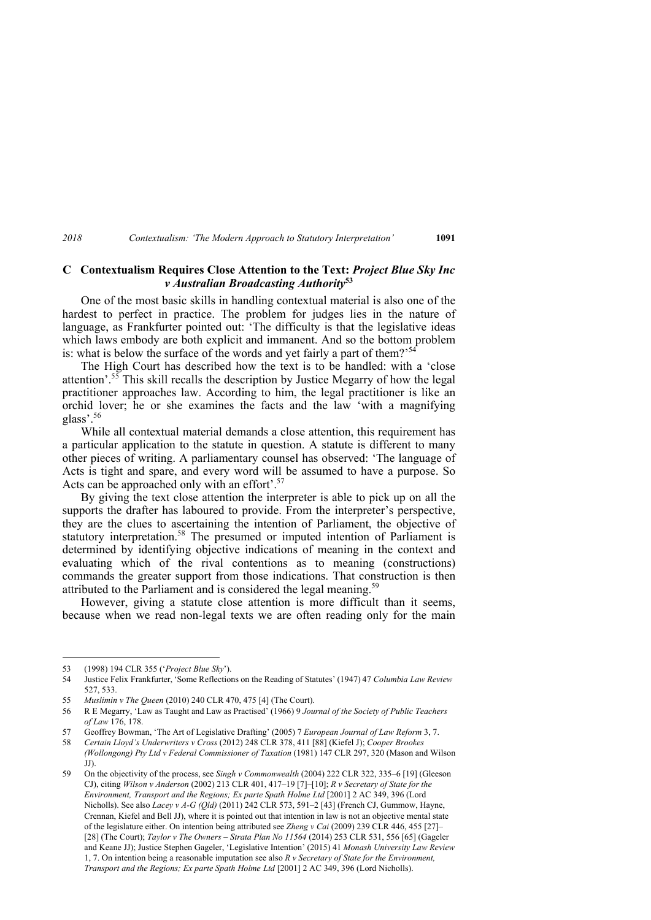#### **C Contextualism Requires Close Attention to the Text:** *Project Blue Sky Inc v Australian Broadcasting Authority***<sup>53</sup>**

One of the most basic skills in handling contextual material is also one of the hardest to perfect in practice. The problem for judges lies in the nature of language, as Frankfurter pointed out: 'The difficulty is that the legislative ideas which laws embody are both explicit and immanent. And so the bottom problem is: what is below the surface of the words and yet fairly a part of them?<sup>54</sup>

The High Court has described how the text is to be handled: with a 'close attention'.<sup>55</sup> This skill recalls the description by Justice Megarry of how the legal practitioner approaches law. According to him, the legal practitioner is like an orchid lover; he or she examines the facts and the law 'with a magnifying glass'.<sup>56</sup>

While all contextual material demands a close attention, this requirement has a particular application to the statute in question. A statute is different to many other pieces of writing. A parliamentary counsel has observed: 'The language of Acts is tight and spare, and every word will be assumed to have a purpose. So Acts can be approached only with an effort'.<sup>57</sup>

By giving the text close attention the interpreter is able to pick up on all the supports the drafter has laboured to provide. From the interpreter's perspective, they are the clues to ascertaining the intention of Parliament, the objective of statutory interpretation.<sup>58</sup> The presumed or imputed intention of Parliament is determined by identifying objective indications of meaning in the context and evaluating which of the rival contentions as to meaning (constructions) commands the greater support from those indications. That construction is then attributed to the Parliament and is considered the legal meaning.<sup>59</sup>

However, giving a statute close attention is more difficult than it seems, because when we read non-legal texts we are often reading only for the main

 53 (1998) 194 CLR 355 ('*Project Blue Sky*').

<sup>54</sup> Justice Felix Frankfurter, 'Some Reflections on the Reading of Statutes' (1947) 47 *Columbia Law Review*  527, 533.

<sup>55</sup> *Muslimin v The Queen* (2010) 240 CLR 470, 475 [4] (The Court).

<sup>56</sup> R E Megarry, 'Law as Taught and Law as Practised' (1966) 9 *Journal of the Society of Public Teachers of Law* 176, 178.

<sup>57</sup> Geoffrey Bowman, 'The Art of Legislative Drafting' (2005) 7 *European Journal of Law Reform* 3, 7.

<sup>58</sup> *Certain Lloyd's Underwriters v Cross* (2012) 248 CLR 378, 411 [88] (Kiefel J); *Cooper Brookes (Wollongong) Pty Ltd v Federal Commissioner of Taxation* (1981) 147 CLR 297, 320 (Mason and Wilson JJ).

<sup>59</sup> On the objectivity of the process, see *Singh v Commonwealth* (2004) 222 CLR 322, 335–6 [19] (Gleeson CJ), citing *Wilson v Anderson* (2002) 213 CLR 401, 417–19 [7]–[10]; *R v Secretary of State for the Environment, Transport and the Regions; Ex parte Spath Holme Ltd* [2001] 2 AC 349, 396 (Lord Nicholls). See also *Lacey v A-G (Qld)* (2011) 242 CLR 573, 591–2 [43] (French CJ, Gummow, Hayne, Crennan, Kiefel and Bell JJ), where it is pointed out that intention in law is not an objective mental state of the legislature either. On intention being attributed see *Zheng v Cai* (2009) 239 CLR 446, 455 [27]– [28] (The Court); *Taylor v The Owners – Strata Plan No 11564* (2014) 253 CLR 531, 556 [65] (Gageler and Keane JJ); Justice Stephen Gageler, 'Legislative Intention' (2015) 41 *Monash University Law Review* 1, 7. On intention being a reasonable imputation see also *R v Secretary of State for the Environment, Transport and the Regions; Ex parte Spath Holme Ltd* [2001] 2 AC 349, 396 (Lord Nicholls).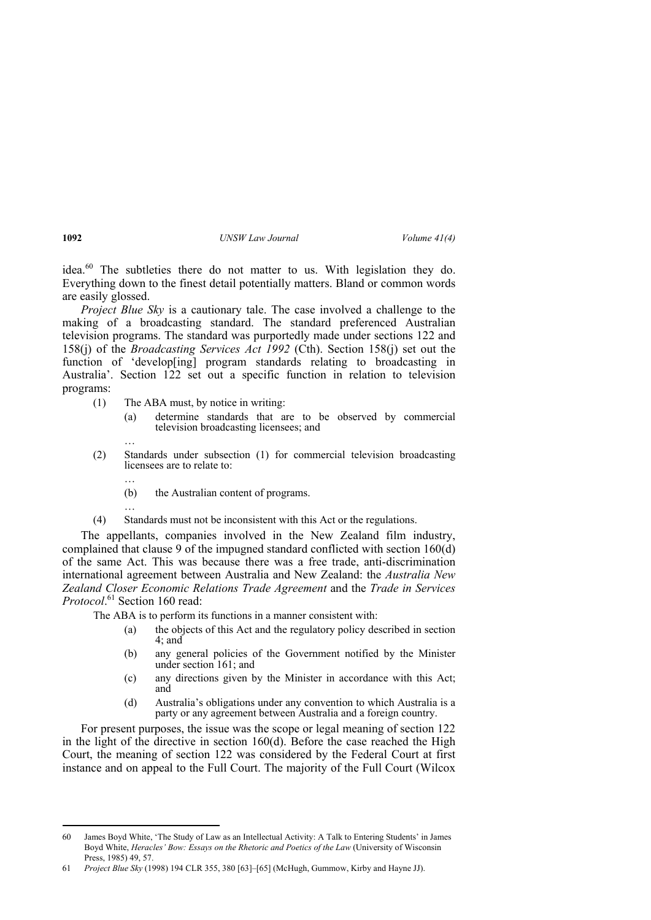idea. $60$  The subtleties there do not matter to us. With legislation they do. Everything down to the finest detail potentially matters. Bland or common words are easily glossed.

*Project Blue Sky* is a cautionary tale. The case involved a challenge to the making of a broadcasting standard. The standard preferenced Australian television programs. The standard was purportedly made under sections 122 and 158(j) of the *Broadcasting Services Act 1992* (Cth). Section 158(j) set out the function of 'develop[ing] program standards relating to broadcasting in Australia'. Section 122 set out a specific function in relation to television programs:

- (1) The ABA must, by notice in writing:
	- (a) determine standards that are to be observed by commercial television broadcasting licensees; and
- (2) Standards under subsection (1) for commercial television broadcasting licensees are to relate to:
	- (b) the Australian content of programs.
- …

…

…

(4) Standards must not be inconsistent with this Act or the regulations.

The appellants, companies involved in the New Zealand film industry, complained that clause 9 of the impugned standard conflicted with section 160(d) of the same Act. This was because there was a free trade, anti-discrimination international agreement between Australia and New Zealand: the *Australia New Zealand Closer Economic Relations Trade Agreement* and the *Trade in Services Protocol*. 61 Section 160 read:

The ABA is to perform its functions in a manner consistent with:

- (a) the objects of this Act and the regulatory policy described in section  $4 \cdot$  and
- (b) any general policies of the Government notified by the Minister under section 161; and
- (c) any directions given by the Minister in accordance with this Act; and
- (d) Australia's obligations under any convention to which Australia is a party or any agreement between Australia and a foreign country.

For present purposes, the issue was the scope or legal meaning of section 122 in the light of the directive in section 160(d). Before the case reached the High Court, the meaning of section 122 was considered by the Federal Court at first instance and on appeal to the Full Court. The majority of the Full Court (Wilcox

<sup>60</sup> James Boyd White, 'The Study of Law as an Intellectual Activity: A Talk to Entering Students' in James Boyd White, *Heracles' Bow: Essays on the Rhetoric and Poetics of the Law* (University of Wisconsin Press, 1985) 49, 57.

<sup>61</sup> *Project Blue Sky* (1998) 194 CLR 355, 380 [63]–[65] (McHugh, Gummow, Kirby and Hayne JJ).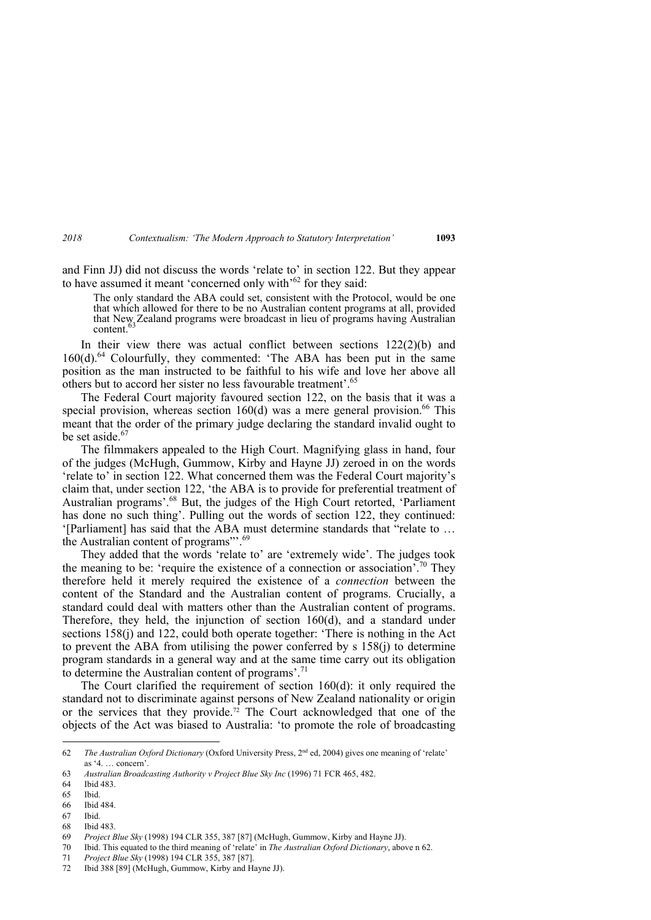and Finn JJ) did not discuss the words 'relate to' in section 122. But they appear to have assumed it meant 'concerned only with'<sup>62</sup> for they said:

The only standard the ABA could set, consistent with the Protocol, would be one that which allowed for there to be no Australian content programs at all, provided that New Zealand programs were broadcast in lieu of programs having Australian content.

In their view there was actual conflict between sections  $122(2)(b)$  and 160(d).<sup>64</sup> Colourfully, they commented: 'The ABA has been put in the same position as the man instructed to be faithful to his wife and love her above all others but to accord her sister no less favourable treatment'.65

The Federal Court majority favoured section 122, on the basis that it was a special provision, whereas section  $160(d)$  was a mere general provision.<sup>66</sup> This meant that the order of the primary judge declaring the standard invalid ought to be set aside.<sup>67</sup>

The filmmakers appealed to the High Court. Magnifying glass in hand, four of the judges (McHugh, Gummow, Kirby and Hayne JJ) zeroed in on the words 'relate to' in section 122. What concerned them was the Federal Court majority's claim that, under section 122, 'the ABA is to provide for preferential treatment of Australian programs'.<sup>68</sup> But, the judges of the High Court retorted, 'Parliament has done no such thing'. Pulling out the words of section 122, they continued: '[Parliament] has said that the ABA must determine standards that "relate to … the Australian content of programs"<sup>3</sup>.<sup>69</sup>

They added that the words 'relate to' are 'extremely wide'. The judges took the meaning to be: 'require the existence of a connection or association'.<sup>70</sup> They therefore held it merely required the existence of a *connection* between the content of the Standard and the Australian content of programs. Crucially, a standard could deal with matters other than the Australian content of programs. Therefore, they held, the injunction of section 160(d), and a standard under sections 158(j) and 122, could both operate together: 'There is nothing in the Act to prevent the ABA from utilising the power conferred by  $s$  158(j) to determine program standards in a general way and at the same time carry out its obligation to determine the Australian content of programs'.<sup>71</sup>

The Court clarified the requirement of section 160(d): it only required the standard not to discriminate against persons of New Zealand nationality or origin or the services that they provide.<sup>72</sup> The Court acknowledged that one of the objects of the Act was biased to Australia: 'to promote the role of broadcasting

68 Ibid 483.

<sup>62</sup> *The Australian Oxford Dictionary* (Oxford University Press, 2nd ed, 2004) gives one meaning of 'relate' as '4. … concern'.

<sup>63</sup> *Australian Broadcasting Authority v Project Blue Sky Inc* (1996) 71 FCR 465, 482.

<sup>64</sup> Ibid 483.

<sup>65</sup> Ibid.

<sup>66</sup> Ibid 484.

<sup>67</sup> Ibid.

<sup>69</sup> *Project Blue Sky* (1998) 194 CLR 355, 387 [87] (McHugh, Gummow, Kirby and Hayne JJ).

<sup>70</sup> Ibid. This equated to the third meaning of 'relate' in *The Australian Oxford Dictionary*, above n 62.

<sup>71</sup> *Project Blue Sky* (1998) 194 CLR 355, 387 [87].

<sup>72</sup> Ibid 388 [89] (McHugh, Gummow, Kirby and Hayne JJ).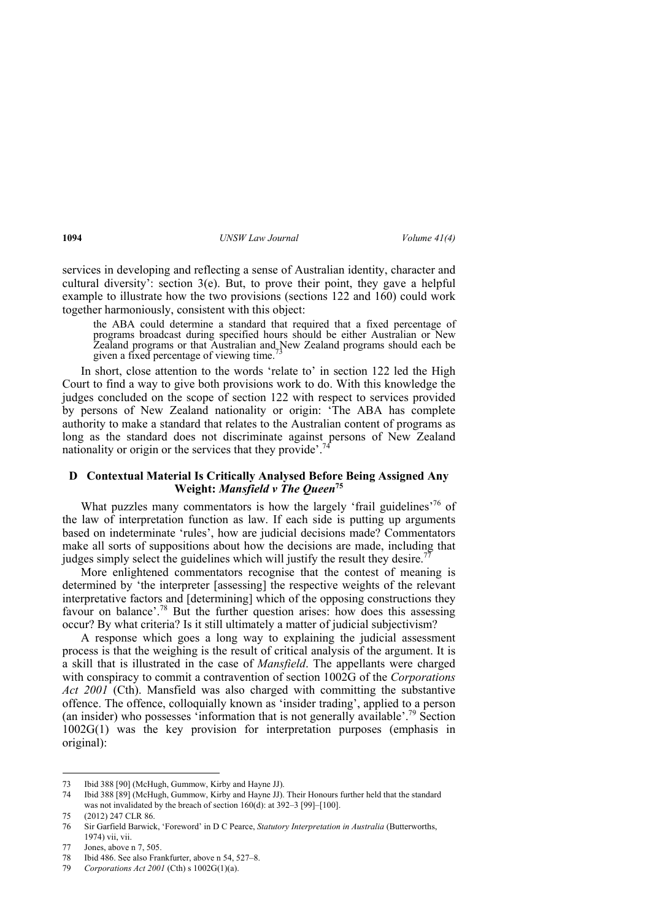services in developing and reflecting a sense of Australian identity, character and cultural diversity': section  $3(e)$ . But, to prove their point, they gave a helpful example to illustrate how the two provisions (sections 122 and 160) could work together harmoniously, consistent with this object:

the ABA could determine a standard that required that a fixed percentage of programs broadcast during specified hours should be either Australian or New Zealand programs or that Australian and New Zealand programs should each be given a fixed percentage of viewing time.

In short, close attention to the words 'relate to' in section 122 led the High Court to find a way to give both provisions work to do. With this knowledge the judges concluded on the scope of section 122 with respect to services provided by persons of New Zealand nationality or origin: 'The ABA has complete authority to make a standard that relates to the Australian content of programs as long as the standard does not discriminate against persons of New Zealand nationality or origin or the services that they provide<sup> $,74$ </sup>

#### **D Contextual Material Is Critically Analysed Before Being Assigned Any Weight:** *Mansfield v The Queen***75**

What puzzles many commentators is how the largely 'frail guidelines'<sup>76</sup> of the law of interpretation function as law. If each side is putting up arguments based on indeterminate 'rules', how are judicial decisions made? Commentators make all sorts of suppositions about how the decisions are made, including that judges simply select the guidelines which will justify the result they desire.<sup>77</sup>

More enlightened commentators recognise that the contest of meaning is determined by 'the interpreter [assessing] the respective weights of the relevant interpretative factors and [determining] which of the opposing constructions they favour on balance'.78 But the further question arises: how does this assessing occur? By what criteria? Is it still ultimately a matter of judicial subjectivism?

A response which goes a long way to explaining the judicial assessment process is that the weighing is the result of critical analysis of the argument. It is a skill that is illustrated in the case of *Mansfield*. The appellants were charged with conspiracy to commit a contravention of section 1002G of the *Corporations Act 2001* (Cth). Mansfield was also charged with committing the substantive offence. The offence, colloquially known as 'insider trading', applied to a person (an insider) who possesses 'information that is not generally available'.<sup>79</sup> Section 1002G(1) was the key provision for interpretation purposes (emphasis in original):

<sup>73</sup> Ibid 388 [90] (McHugh, Gummow, Kirby and Hayne JJ).

<sup>74</sup> Ibid 388 [89] (McHugh, Gummow, Kirby and Hayne JJ). Their Honours further held that the standard was not invalidated by the breach of section 160(d): at 392–3 [99]–[100].

<sup>75 (2012) 247</sup> CLR 86.

<sup>76</sup> Sir Garfield Barwick, 'Foreword' in D C Pearce, *Statutory Interpretation in Australia* (Butterworths, 1974) vii, vii.

<sup>77</sup> Jones, above n 7, 505.

<sup>78</sup> Ibid 486. See also Frankfurter, above n 54, 527–8.

<sup>79</sup> *Corporations Act 2001* (Cth) s 1002G(1)(a).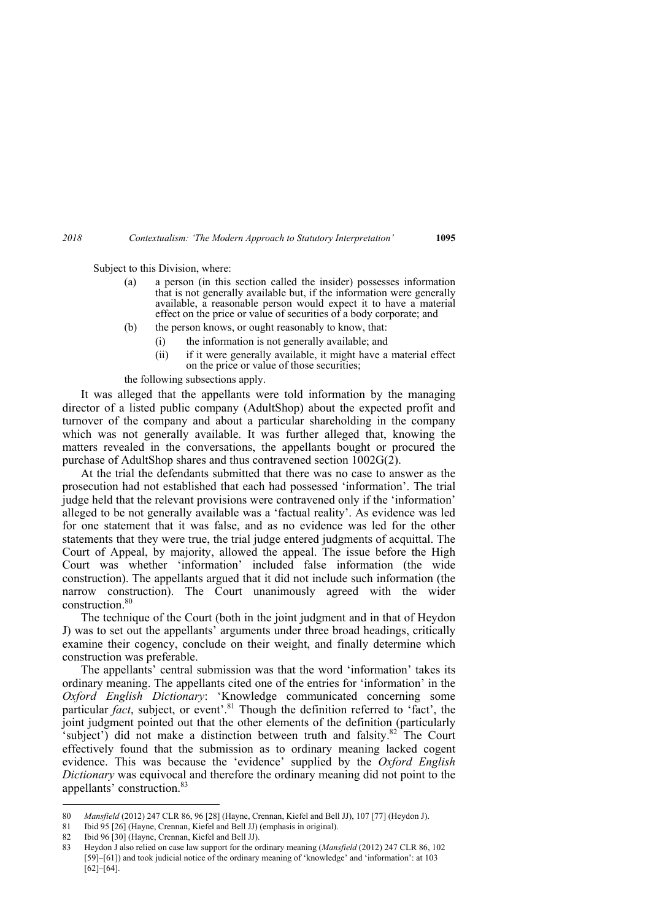Subject to this Division, where:

- (a) a person (in this section called the insider) possesses information that is not generally available but, if the information were generally available, a reasonable person would expect it to have a material effect on the price or value of securities of a body corporate; and
- (b) the person knows, or ought reasonably to know, that:
	- (i) the information is not generally available; and
	- (ii) if it were generally available, it might have a material effect on the price or value of those securities;

the following subsections apply.

It was alleged that the appellants were told information by the managing director of a listed public company (AdultShop) about the expected profit and turnover of the company and about a particular shareholding in the company which was not generally available. It was further alleged that, knowing the matters revealed in the conversations, the appellants bought or procured the purchase of AdultShop shares and thus contravened section 1002G(2).

At the trial the defendants submitted that there was no case to answer as the prosecution had not established that each had possessed 'information'. The trial judge held that the relevant provisions were contravened only if the 'information' alleged to be not generally available was a 'factual reality'. As evidence was led for one statement that it was false, and as no evidence was led for the other statements that they were true, the trial judge entered judgments of acquittal. The Court of Appeal, by majority, allowed the appeal. The issue before the High Court was whether 'information' included false information (the wide construction). The appellants argued that it did not include such information (the narrow construction). The Court unanimously agreed with the wider construction.80

The technique of the Court (both in the joint judgment and in that of Heydon J) was to set out the appellants' arguments under three broad headings, critically examine their cogency, conclude on their weight, and finally determine which construction was preferable.

The appellants' central submission was that the word 'information' takes its ordinary meaning. The appellants cited one of the entries for 'information' in the *Oxford English Dictionary*: 'Knowledge communicated concerning some particular *fact*, subject, or event'.<sup>81</sup> Though the definition referred to 'fact', the joint judgment pointed out that the other elements of the definition (particularly 'subject') did not make a distinction between truth and falsity.<sup>82</sup> The Court effectively found that the submission as to ordinary meaning lacked cogent evidence. This was because the 'evidence' supplied by the *Oxford English Dictionary* was equivocal and therefore the ordinary meaning did not point to the appellants' construction.<sup>83</sup>

<sup>80</sup> *Mansfield* (2012) 247 CLR 86, 96 [28] (Hayne, Crennan, Kiefel and Bell JJ), 107 [77] (Heydon J).

<sup>81</sup> Ibid 95 [26] (Hayne, Crennan, Kiefel and Bell JJ) (emphasis in original).

<sup>82</sup> Ibid 96 [30] (Hayne, Crennan, Kiefel and Bell JJ).

<sup>83</sup> Heydon J also relied on case law support for the ordinary meaning (*Mansfield* (2012) 247 CLR 86, 102 [59]–[61]) and took judicial notice of the ordinary meaning of 'knowledge' and 'information': at 103 [62]–[64].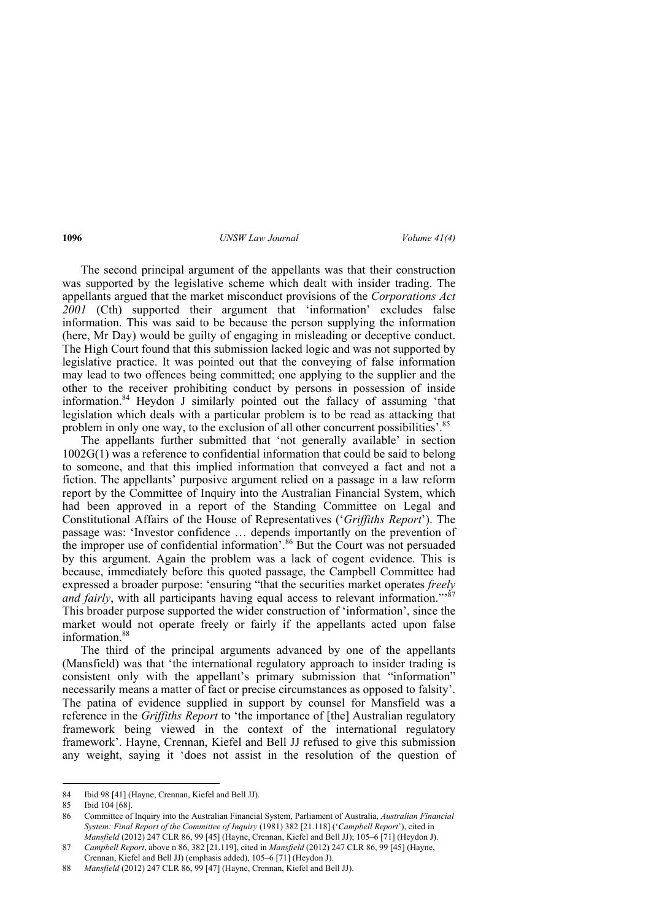The second principal argument of the appellants was that their construction was supported by the legislative scheme which dealt with insider trading. The appellants argued that the market misconduct provisions of the *Corporations Act 2001* (Cth) supported their argument that 'information' excludes false information. This was said to be because the person supplying the information (here, Mr Day) would be guilty of engaging in misleading or deceptive conduct. The High Court found that this submission lacked logic and was not supported by legislative practice. It was pointed out that the conveying of false information may lead to two offences being committed; one applying to the supplier and the other to the receiver prohibiting conduct by persons in possession of inside information.84 Heydon J similarly pointed out the fallacy of assuming 'that legislation which deals with a particular problem is to be read as attacking that problem in only one way, to the exclusion of all other concurrent possibilities'.<sup>85</sup>

The appellants further submitted that 'not generally available' in section 1002G(1) was a reference to confidential information that could be said to belong to someone, and that this implied information that conveyed a fact and not a fiction. The appellants' purposive argument relied on a passage in a law reform report by the Committee of Inquiry into the Australian Financial System, which had been approved in a report of the Standing Committee on Legal and Constitutional Affairs of the House of Representatives ('*Griffiths Report*'). The passage was: 'Investor confidence … depends importantly on the prevention of the improper use of confidential information'.<sup>86</sup> But the Court was not persuaded by this argument. Again the problem was a lack of cogent evidence. This is because, immediately before this quoted passage, the Campbell Committee had expressed a broader purpose: 'ensuring "that the securities market operates *freely and fairly*, with all participants having equal access to relevant information."<sup>87</sup> This broader purpose supported the wider construction of 'information', since the market would not operate freely or fairly if the appellants acted upon false information.<sup>88</sup>

The third of the principal arguments advanced by one of the appellants (Mansfield) was that 'the international regulatory approach to insider trading is consistent only with the appellant's primary submission that "information" necessarily means a matter of fact or precise circumstances as opposed to falsity'. The patina of evidence supplied in support by counsel for Mansfield was a reference in the *Griffiths Report* to 'the importance of [the] Australian regulatory framework being viewed in the context of the international regulatory framework'. Hayne, Crennan, Kiefel and Bell JJ refused to give this submission any weight, saying it 'does not assist in the resolution of the question of

<sup>84</sup> Ibid 98 [41] (Hayne, Crennan, Kiefel and Bell JJ).

<sup>85</sup> Ibid 104 [68].

<sup>86</sup> Committee of Inquiry into the Australian Financial System, Parliament of Australia, *Australian Financial System: Final Report of the Committee of Inquiry* (1981) 382 [21.118] ('*Campbell Report*'), cited in *Mansfield* (2012) 247 CLR 86, 99 [45] (Hayne, Crennan, Kiefel and Bell JJ); 105–6 [71] (Heydon J).

<sup>87</sup> *Campbell Report*, above n 86, 382 [21.119], cited in *Mansfield* (2012) 247 CLR 86, 99 [45] (Hayne, Crennan, Kiefel and Bell JJ) (emphasis added), 105–6 [71] (Heydon J).

<sup>88</sup> *Mansfield* (2012) 247 CLR 86, 99 [47] (Hayne, Crennan, Kiefel and Bell JJ).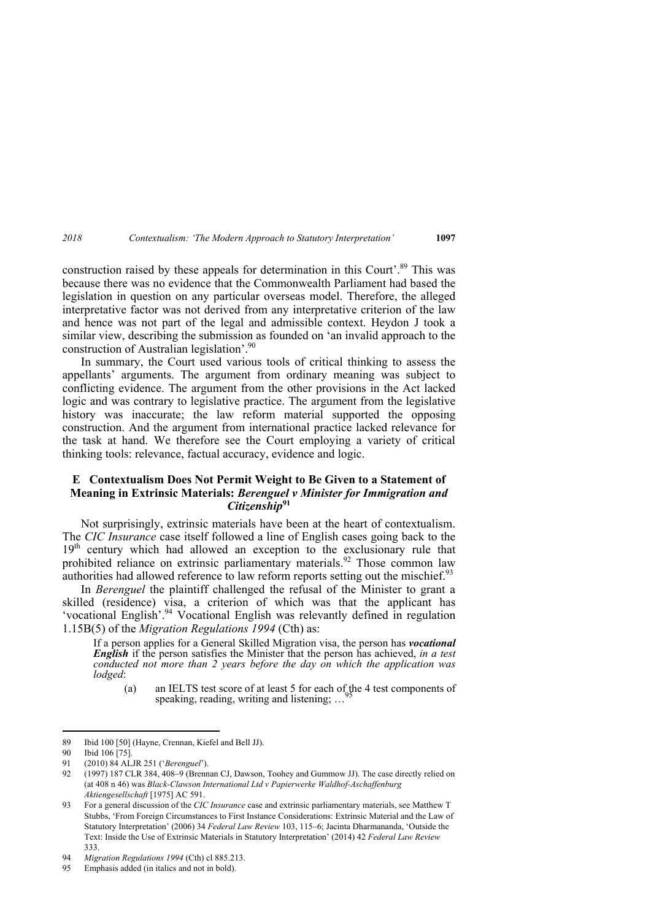construction raised by these appeals for determination in this Court'.<sup>89</sup> This was because there was no evidence that the Commonwealth Parliament had based the legislation in question on any particular overseas model. Therefore, the alleged interpretative factor was not derived from any interpretative criterion of the law and hence was not part of the legal and admissible context. Heydon J took a similar view, describing the submission as founded on 'an invalid approach to the construction of Australian legislation<sup>'.90</sup>

In summary, the Court used various tools of critical thinking to assess the appellants' arguments. The argument from ordinary meaning was subject to conflicting evidence. The argument from the other provisions in the Act lacked logic and was contrary to legislative practice. The argument from the legislative history was inaccurate; the law reform material supported the opposing construction. And the argument from international practice lacked relevance for the task at hand. We therefore see the Court employing a variety of critical thinking tools: relevance, factual accuracy, evidence and logic.

### **E Contextualism Does Not Permit Weight to Be Given to a Statement of Meaning in Extrinsic Materials:** *Berenguel v Minister for Immigration and Citizenship***<sup>91</sup>**

Not surprisingly, extrinsic materials have been at the heart of contextualism. The *CIC Insurance* case itself followed a line of English cases going back to the 19<sup>th</sup> century which had allowed an exception to the exclusionary rule that prohibited reliance on extrinsic parliamentary materials.<sup>92</sup> Those common law authorities had allowed reference to law reform reports setting out the mischief. $93$ 

In *Berenguel* the plaintiff challenged the refusal of the Minister to grant a skilled (residence) visa, a criterion of which was that the applicant has 'vocational English'.<sup>94</sup> Vocational English was relevantly defined in regulation 1.15B(5) of the *Migration Regulations 1994* (Cth) as:

If a person applies for a General Skilled Migration visa, the person has *vocational English* if the person satisfies the Minister that the person has achieved, *in a test conducted not more than 2 years before the day on which the application was lodged*:

(a) an IELTS test score of at least 5 for each of the 4 test components of speaking, reading, writing and listening;  $\ldots$ 

<sup>89</sup> Ibid 100 [50] (Hayne, Crennan, Kiefel and Bell JJ).

<sup>90</sup> Ibid 106 [75].

<sup>91 (2010) 84</sup> ALJR 251 ('*Berenguel*').

<sup>92 (1997) 187</sup> CLR 384, 408–9 (Brennan CJ, Dawson, Toohey and Gummow JJ). The case directly relied on (at 408 n 46) was *Black-Clawson International Ltd v Papierwerke Waldhof-Aschaffenburg Aktiengesellschaft* [1975] AC 591.

<sup>93</sup> For a general discussion of the *CIC Insurance* case and extrinsic parliamentary materials, see Matthew T Stubbs, 'From Foreign Circumstances to First Instance Considerations: Extrinsic Material and the Law of Statutory Interpretation' (2006) 34 *Federal Law Review* 103, 115–6; Jacinta Dharmananda, 'Outside the Text: Inside the Use of Extrinsic Materials in Statutory Interpretation' (2014) 42 *Federal Law Review*  333.

<sup>94</sup> *Migration Regulations 1994* (Cth) cl 885.213.

<sup>95</sup> Emphasis added (in italics and not in bold).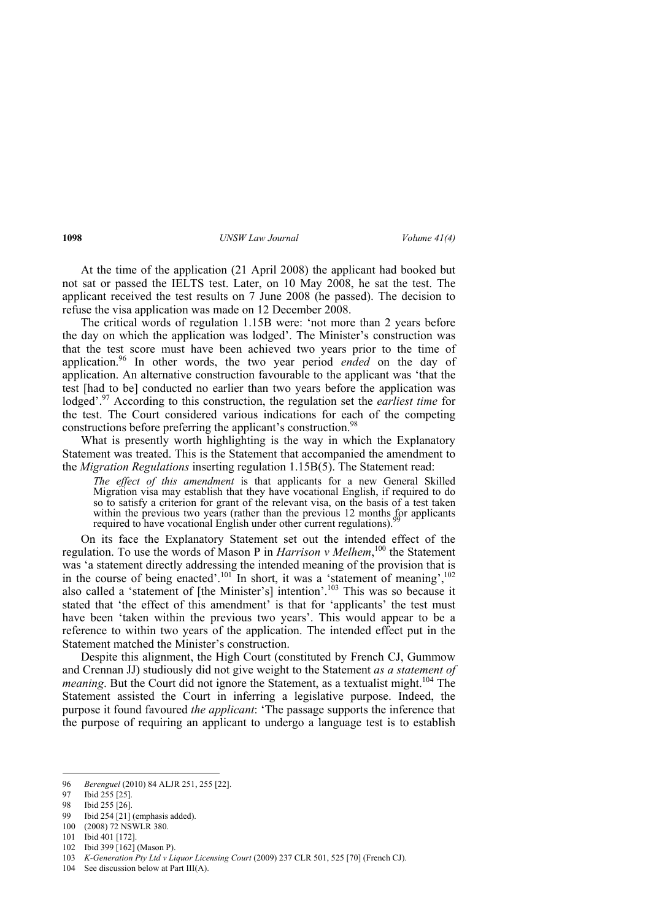At the time of the application (21 April 2008) the applicant had booked but not sat or passed the IELTS test. Later, on 10 May 2008, he sat the test. The applicant received the test results on 7 June 2008 (he passed). The decision to refuse the visa application was made on 12 December 2008.

The critical words of regulation 1.15B were: 'not more than 2 years before the day on which the application was lodged'. The Minister's construction was that the test score must have been achieved two years prior to the time of application.96 In other words, the two year period *ended* on the day of application. An alternative construction favourable to the applicant was 'that the test [had to be] conducted no earlier than two years before the application was lodged'.<sup>97</sup> According to this construction, the regulation set the *earliest time* for the test. The Court considered various indications for each of the competing constructions before preferring the applicant's construction.<sup>98</sup>

What is presently worth highlighting is the way in which the Explanatory Statement was treated. This is the Statement that accompanied the amendment to the *Migration Regulations* inserting regulation 1.15B(5). The Statement read:

*The effect of this amendment* is that applicants for a new General Skilled Migration visa may establish that they have vocational English, if required to do so to satisfy a criterion for grant of the relevant visa, on the basis of a test taken within the previous two years (rather than the previous 12 months for applicants required to have vocational English under other current regulations).

On its face the Explanatory Statement set out the intended effect of the regulation. To use the words of Mason P in *Harrison v Melhem*,<sup>100</sup> the Statement was 'a statement directly addressing the intended meaning of the provision that is in the course of being enacted'.<sup>101</sup> In short, it was a 'statement of meaning',<sup>102</sup> also called a 'statement of [the Minister's] intention'.103 This was so because it stated that 'the effect of this amendment' is that for 'applicants' the test must have been 'taken within the previous two years'. This would appear to be a reference to within two years of the application. The intended effect put in the Statement matched the Minister's construction.

Despite this alignment, the High Court (constituted by French CJ, Gummow and Crennan JJ) studiously did not give weight to the Statement *as a statement of meaning*. But the Court did not ignore the Statement, as a textualist might.<sup>104</sup> The Statement assisted the Court in inferring a legislative purpose. Indeed, the purpose it found favoured *the applicant*: 'The passage supports the inference that the purpose of requiring an applicant to undergo a language test is to establish

102 Ibid 399 [162] (Mason P).

104 See discussion below at Part III(A).

 96 *Berenguel* (2010) 84 ALJR 251, 255 [22].

<sup>97</sup> Ibid 255 [25].

<sup>98</sup> Ibid 255 [26].

<sup>99</sup> Ibid 254 [21] (emphasis added).

<sup>100 (2008) 72</sup> NSWLR 380.

<sup>101</sup> Ibid 401 [172].

<sup>103</sup> *K-Generation Pty Ltd v Liquor Licensing Court* (2009) 237 CLR 501, 525 [70] (French CJ).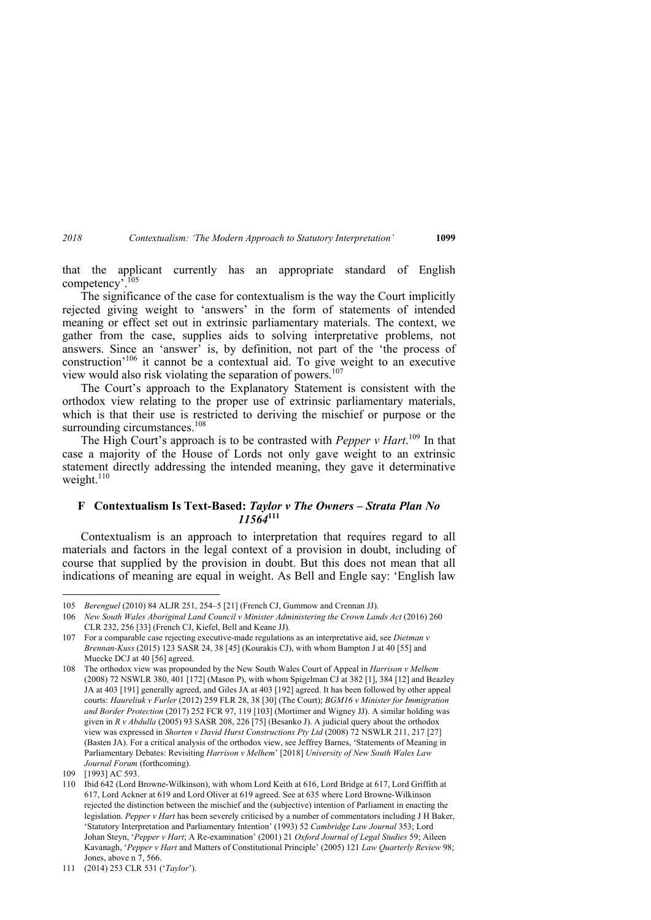that the applicant currently has an appropriate standard of English competency<sup>7.105</sup>

The significance of the case for contextualism is the way the Court implicitly rejected giving weight to 'answers' in the form of statements of intended meaning or effect set out in extrinsic parliamentary materials. The context, we gather from the case, supplies aids to solving interpretative problems, not answers. Since an 'answer' is, by definition, not part of the 'the process of construction'106 it cannot be a contextual aid. To give weight to an executive view would also risk violating the separation of powers.<sup>107</sup>

The Court's approach to the Explanatory Statement is consistent with the orthodox view relating to the proper use of extrinsic parliamentary materials, which is that their use is restricted to deriving the mischief or purpose or the surrounding circumstances.<sup>108</sup>

The High Court's approach is to be contrasted with *Pepper v Hart*. <sup>109</sup> In that case a majority of the House of Lords not only gave weight to an extrinsic statement directly addressing the intended meaning, they gave it determinative weight. $110$ 

### **F Contextualism Is Text-Based:** *Taylor v The Owners – Strata Plan No 11564***<sup>111</sup>**

Contextualism is an approach to interpretation that requires regard to all materials and factors in the legal context of a provision in doubt, including of course that supplied by the provision in doubt. But this does not mean that all indications of meaning are equal in weight. As Bell and Engle say: 'English law

<sup>105</sup> *Berenguel* (2010) 84 ALJR 251, 254–5 [21] (French CJ, Gummow and Crennan JJ).

<sup>106</sup> *New South Wales Aboriginal Land Council v Minister Administering the Crown Lands Act* (2016) 260 CLR 232, 256 [33] (French CJ, Kiefel, Bell and Keane JJ).

<sup>107</sup> For a comparable case rejecting executive-made regulations as an interpretative aid, see *Dietman v Brennan-Kuss* (2015) 123 SASR 24, 38 [45] (Kourakis CJ), with whom Bampton J at 40 [55] and Muecke DCJ at 40 [56] agreed.

<sup>108</sup> The orthodox view was propounded by the New South Wales Court of Appeal in *Harrison v Melhem* (2008) 72 NSWLR 380, 401 [172] (Mason P), with whom Spigelman CJ at 382 [1], 384 [12] and Beazley JA at 403 [191] generally agreed, and Giles JA at 403 [192] agreed. It has been followed by other appeal courts: *Haureliuk v Furler* (2012) 259 FLR 28, 38 [30] (The Court); *BGM16 v Minister for Immigration and Border Protection* (2017) 252 FCR 97, 119 [103] (Mortimer and Wigney JJ). A similar holding was given in *R v Abdulla* (2005) 93 SASR 208, 226 [75] (Besanko J). A judicial query about the orthodox view was expressed in *Shorten v David Hurst Constructions Pty Ltd* (2008) 72 NSWLR 211, 217 [27] (Basten JA). For a critical analysis of the orthodox view, see Jeffrey Barnes, 'Statements of Meaning in Parliamentary Debates: Revisiting *Harrison v Melhem*' [2018] *University of New South Wales Law Journal Forum* (forthcoming).

<sup>109 [1993]</sup> AC 593.

<sup>110</sup> Ibid 642 (Lord Browne-Wilkinson), with whom Lord Keith at 616, Lord Bridge at 617, Lord Griffith at 617, Lord Ackner at 619 and Lord Oliver at 619 agreed. See at 635 where Lord Browne-Wilkinson rejected the distinction between the mischief and the (subjective) intention of Parliament in enacting the legislation. *Pepper v Hart* has been severely criticised by a number of commentators including J H Baker, 'Statutory Interpretation and Parliamentary Intention' (1993) 52 *Cambridge Law Journal* 353; Lord Johan Steyn, '*Pepper v Hart*; A Re-examination' (2001) 21 *Oxford Journal of Legal Studies* 59; Aileen Kavanagh, '*Pepper v Hart* and Matters of Constitutional Principle' (2005) 121 *Law Quarterly Review* 98; Jones, above n 7, 566.

<sup>111 (2014) 253</sup> CLR 531 ('*Taylor*').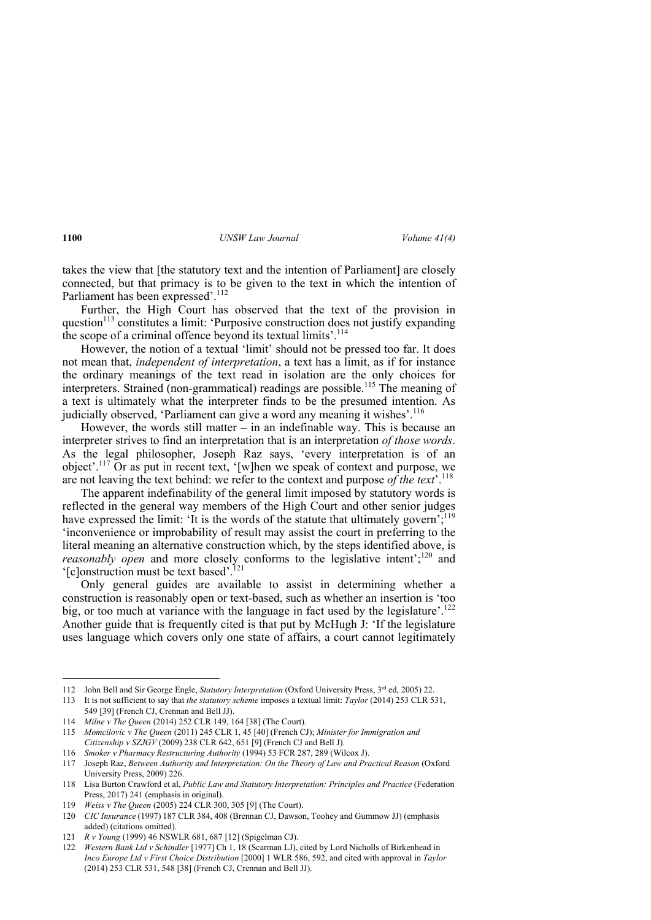takes the view that [the statutory text and the intention of Parliament] are closely connected, but that primacy is to be given to the text in which the intention of Parliament has been expressed'.<sup>112</sup>

Further, the High Court has observed that the text of the provision in question<sup>113</sup> constitutes a limit: 'Purposive construction does not justify expanding the scope of a criminal offence beyond its textual limits'.<sup>114</sup>

However, the notion of a textual 'limit' should not be pressed too far. It does not mean that, *independent of interpretation*, a text has a limit, as if for instance the ordinary meanings of the text read in isolation are the only choices for interpreters. Strained (non-grammatical) readings are possible.<sup>115</sup> The meaning of a text is ultimately what the interpreter finds to be the presumed intention. As judicially observed, 'Parliament can give a word any meaning it wishes'.<sup>116</sup>

However, the words still matter  $-$  in an indefinable way. This is because an interpreter strives to find an interpretation that is an interpretation *of those words*. As the legal philosopher, Joseph Raz says, 'every interpretation is of an object'.<sup>117</sup> Or as put in recent text, '[w]hen we speak of context and purpose, we are not leaving the text behind: we refer to the context and purpose *of the text*'.118

The apparent indefinability of the general limit imposed by statutory words is reflected in the general way members of the High Court and other senior judges have expressed the limit: 'It is the words of the statute that ultimately govern';  $\frac{1}{19}$ 'inconvenience or improbability of result may assist the court in preferring to the literal meaning an alternative construction which, by the steps identified above, is *reasonably open* and more closely conforms to the legislative intent<sup>'</sup>;<sup>120</sup> and  $[$ c]onstruction must be text based'.<sup>121</sup>

Only general guides are available to assist in determining whether a construction is reasonably open or text-based, such as whether an insertion is 'too big, or too much at variance with the language in fact used by the legislature'.<sup>122</sup> Another guide that is frequently cited is that put by McHugh J: 'If the legislature uses language which covers only one state of affairs, a court cannot legitimately

<sup>112</sup> John Bell and Sir George Engle, *Statutory Interpretation* (Oxford University Press, 3<sup>rd</sup> ed, 2005) 22.

<sup>113</sup> It is not sufficient to say that *the statutory scheme* imposes a textual limit: *Taylor* (2014) 253 CLR 531, 549 [39] (French CJ, Crennan and Bell JJ).

<sup>114</sup> *Milne v The Queen* (2014) 252 CLR 149, 164 [38] (The Court).

<sup>115</sup> *Momcilovic v The Queen* (2011) 245 CLR 1, 45 [40] (French CJ); *Minister for Immigration and Citizenship v SZJGV* (2009) 238 CLR 642, 651 [9] (French CJ and Bell J).

<sup>116</sup> *Smoker v Pharmacy Restructuring Authority* (1994) 53 FCR 287, 289 (Wilcox J).

<sup>117</sup> Joseph Raz, *Between Authority and Interpretation: On the Theory of Law and Practical Reason* (Oxford University Press, 2009) 226.

<sup>118</sup> Lisa Burton Crawford et al, *Public Law and Statutory Interpretation: Principles and Practice* (Federation Press, 2017) 241 (emphasis in original).

<sup>119</sup> *Weiss v The Queen* (2005) 224 CLR 300, 305 [9] (The Court).

<sup>120</sup> *CIC Insurance* (1997) 187 CLR 384, 408 (Brennan CJ, Dawson, Toohey and Gummow JJ) (emphasis added) (citations omitted).

<sup>121</sup> *R v Young* (1999) 46 NSWLR 681, 687 [12] (Spigelman CJ).

<sup>122</sup> *Western Bank Ltd v Schindler* [1977] Ch 1, 18 (Scarman LJ), cited by Lord Nicholls of Birkenhead in *Inco Europe Ltd v First Choice Distribution* [2000] 1 WLR 586, 592, and cited with approval in *Taylor* (2014) 253 CLR 531, 548 [38] (French CJ, Crennan and Bell JJ).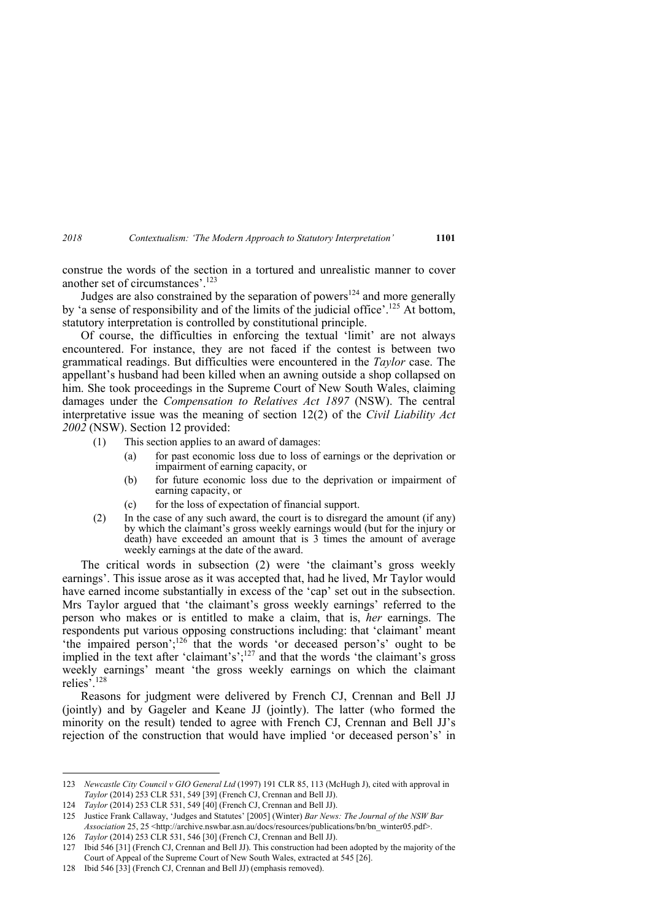construe the words of the section in a tortured and unrealistic manner to cover another set of circumstances'.123

Judges are also constrained by the separation of powers<sup>124</sup> and more generally by 'a sense of responsibility and of the limits of the judicial office'.<sup>125</sup> At bottom, statutory interpretation is controlled by constitutional principle.

Of course, the difficulties in enforcing the textual 'limit' are not always encountered. For instance, they are not faced if the contest is between two grammatical readings. But difficulties were encountered in the *Taylor* case. The appellant's husband had been killed when an awning outside a shop collapsed on him. She took proceedings in the Supreme Court of New South Wales, claiming damages under the *Compensation to Relatives Act 1897* (NSW). The central interpretative issue was the meaning of section 12(2) of the *Civil Liability Act 2002* (NSW). Section 12 provided:

- (1) This section applies to an award of damages:
	- (a) for past economic loss due to loss of earnings or the deprivation or impairment of earning capacity, or
	- (b) for future economic loss due to the deprivation or impairment of earning capacity, or
	- (c) for the loss of expectation of financial support.
- (2) In the case of any such award, the court is to disregard the amount (if any) by which the claimant's gross weekly earnings would (but for the injury or death) have exceeded an amount that is 3 times the amount of average weekly earnings at the date of the award.

The critical words in subsection (2) were 'the claimant's gross weekly earnings'. This issue arose as it was accepted that, had he lived, Mr Taylor would have earned income substantially in excess of the 'cap' set out in the subsection. Mrs Taylor argued that 'the claimant's gross weekly earnings' referred to the person who makes or is entitled to make a claim, that is, *her* earnings. The respondents put various opposing constructions including: that 'claimant' meant 'the impaired person';<sup>126</sup> that the words 'or deceased person's' ought to be implied in the text after 'claimant's';<sup>127</sup> and that the words 'the claimant's gross weekly earnings' meant 'the gross weekly earnings on which the claimant relies'.<sup>128</sup>

Reasons for judgment were delivered by French CJ, Crennan and Bell JJ (jointly) and by Gageler and Keane JJ (jointly). The latter (who formed the minority on the result) tended to agree with French CJ, Crennan and Bell JJ's rejection of the construction that would have implied 'or deceased person's' in

<sup>123</sup> *Newcastle City Council v GIO General Ltd* (1997) 191 CLR 85, 113 (McHugh J), cited with approval in *Taylor* (2014) 253 CLR 531, 549 [39] (French CJ, Crennan and Bell JJ).

<sup>124</sup> *Taylor* (2014) 253 CLR 531, 549 [40] (French CJ, Crennan and Bell JJ).

<sup>125</sup> Justice Frank Callaway, 'Judges and Statutes' [2005] (Winter) *Bar News: The Journal of the NSW Bar Association* 25, 25 <http://archive.nswbar.asn.au/docs/resources/publications/bn/bn\_winter05.pdf>.

<sup>126</sup> *Taylor* (2014) 253 CLR 531, 546 [30] (French CJ, Crennan and Bell JJ).

<sup>127</sup> Ibid 546 [31] (French CJ, Crennan and Bell JJ). This construction had been adopted by the majority of the Court of Appeal of the Supreme Court of New South Wales, extracted at 545 [26].

<sup>128</sup> Ibid 546 [33] (French CJ, Crennan and Bell JJ) (emphasis removed).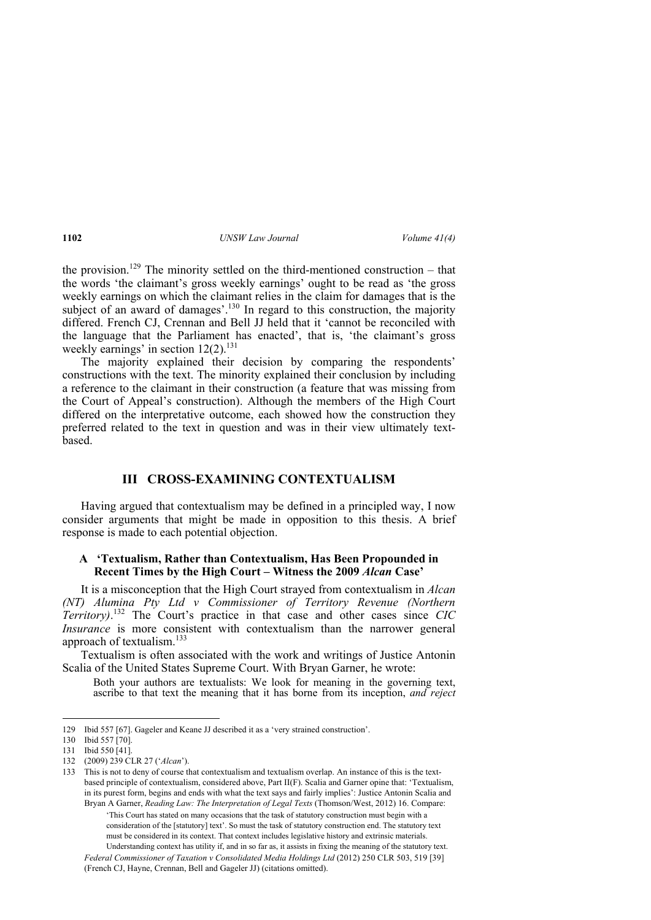the provision.<sup>129</sup> The minority settled on the third-mentioned construction – that the words 'the claimant's gross weekly earnings' ought to be read as 'the gross weekly earnings on which the claimant relies in the claim for damages that is the subject of an award of damages'. $130$  In regard to this construction, the majority differed. French CJ, Crennan and Bell JJ held that it 'cannot be reconciled with the language that the Parliament has enacted', that is, 'the claimant's gross weekly earnings' in section  $12(2)$ .<sup>131</sup>

The majority explained their decision by comparing the respondents' constructions with the text. The minority explained their conclusion by including a reference to the claimant in their construction (a feature that was missing from the Court of Appeal's construction). Although the members of the High Court differed on the interpretative outcome, each showed how the construction they preferred related to the text in question and was in their view ultimately textbased.

# **III CROSS-EXAMINING CONTEXTUALISM**

Having argued that contextualism may be defined in a principled way, I now consider arguments that might be made in opposition to this thesis. A brief response is made to each potential objection.

#### **A 'Textualism, Rather than Contextualism, Has Been Propounded in Recent Times by the High Court – Witness the 2009** *Alcan* **Case'**

It is a misconception that the High Court strayed from contextualism in *Alcan (NT) Alumina Pty Ltd v Commissioner of Territory Revenue (Northern Territory)*. 132 The Court's practice in that case and other cases since *CIC Insurance* is more consistent with contextualism than the narrower general approach of textualism. $133$ 

Textualism is often associated with the work and writings of Justice Antonin Scalia of the United States Supreme Court. With Bryan Garner, he wrote:

Both your authors are textualists: We look for meaning in the governing text, ascribe to that text the meaning that it has borne from its inception, *and reject* 

'This Court has stated on many occasions that the task of statutory construction must begin with a consideration of the [statutory] text'. So must the task of statutory construction end. The statutory text must be considered in its context. That context includes legislative history and extrinsic materials. Understanding context has utility if, and in so far as, it assists in fixing the meaning of the statutory text.

 *Federal Commissioner of Taxation v Consolidated Media Holdings Ltd* (2012) 250 CLR 503, 519 [39] (French CJ, Hayne, Crennan, Bell and Gageler JJ) (citations omitted).

<sup>129</sup> Ibid 557 [67]. Gageler and Keane JJ described it as a 'very strained construction'.

<sup>130</sup> Ibid 557 [70].

<sup>131</sup> Ibid 550 [41].

<sup>132 (2009) 239</sup> CLR 27 ('*Alcan*').

<sup>133</sup> This is not to deny of course that contextualism and textualism overlap. An instance of this is the textbased principle of contextualism, considered above, Part II(F). Scalia and Garner opine that: 'Textualism, in its purest form, begins and ends with what the text says and fairly implies': Justice Antonin Scalia and Bryan A Garner, *Reading Law: The Interpretation of Legal Texts* (Thomson/West, 2012) 16. Compare: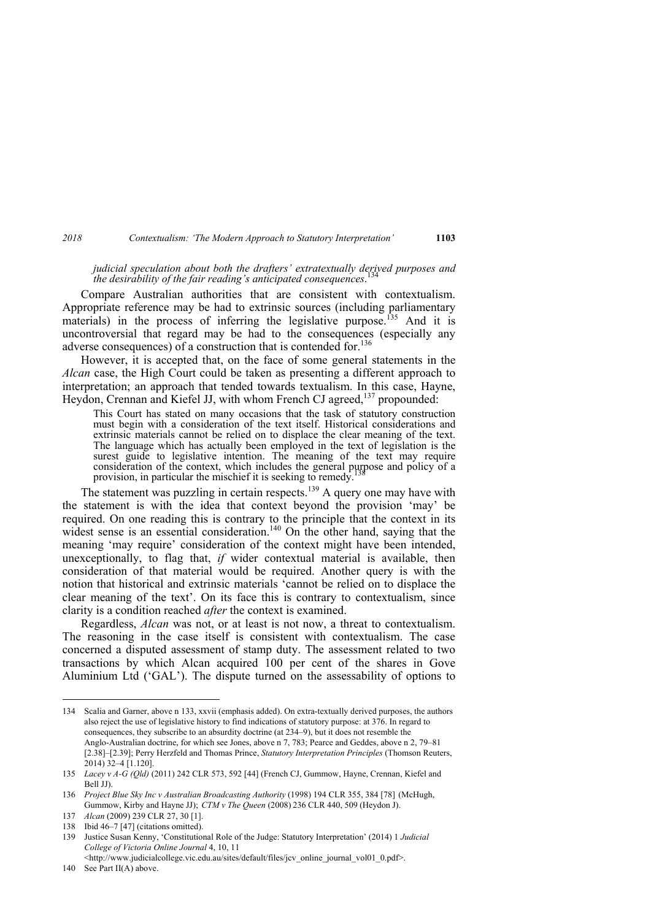*judicial speculation about both the drafters' extratextually derived purposes and the desirability of the fair reading's anticipated consequences*. 134

Compare Australian authorities that are consistent with contextualism. Appropriate reference may be had to extrinsic sources (including parliamentary materials) in the process of inferring the legislative purpose.<sup>135</sup> And it is uncontroversial that regard may be had to the consequences (especially any adverse consequences) of a construction that is contended for.<sup>136</sup>

However, it is accepted that, on the face of some general statements in the *Alcan* case, the High Court could be taken as presenting a different approach to interpretation; an approach that tended towards textualism. In this case, Hayne, Heydon, Crennan and Kiefel JJ, with whom French CJ agreed,137 propounded:

This Court has stated on many occasions that the task of statutory construction must begin with a consideration of the text itself. Historical considerations and extrinsic materials cannot be relied on to displace the clear meaning of the text. The language which has actually been employed in the text of legislation is the surest guide to legislative intention. The meaning of the text may require consideration of the context, which includes the general purpose and policy of a provision, in particular the mischief it is seeking to remedy.

The statement was puzzling in certain respects.<sup>139</sup> A query one may have with the statement is with the idea that context beyond the provision 'may' be required. On one reading this is contrary to the principle that the context in its widest sense is an essential consideration.<sup>140</sup> On the other hand, saying that the meaning 'may require' consideration of the context might have been intended, unexceptionally, to flag that, *if* wider contextual material is available, then consideration of that material would be required. Another query is with the notion that historical and extrinsic materials 'cannot be relied on to displace the clear meaning of the text'. On its face this is contrary to contextualism, since clarity is a condition reached *after* the context is examined.

Regardless, *Alcan* was not, or at least is not now, a threat to contextualism. The reasoning in the case itself is consistent with contextualism. The case concerned a disputed assessment of stamp duty. The assessment related to two transactions by which Alcan acquired 100 per cent of the shares in Gove Aluminium Ltd ('GAL'). The dispute turned on the assessability of options to

<sup>134</sup> Scalia and Garner, above n 133, xxvii (emphasis added). On extra-textually derived purposes, the authors also reject the use of legislative history to find indications of statutory purpose: at 376. In regard to consequences, they subscribe to an absurdity doctrine (at 234–9), but it does not resemble the Anglo-Australian doctrine, for which see Jones, above n 7, 783; Pearce and Geddes, above n 2, 79–81 [2.38]–[2.39]; Perry Herzfeld and Thomas Prince, *Statutory Interpretation Principles* (Thomson Reuters, 2014) 32–4 [1.120].

<sup>135</sup> *Lacey v A-G (Qld)* (2011) 242 CLR 573, 592 [44] (French CJ, Gummow, Hayne, Crennan, Kiefel and Bell JJ).

<sup>136</sup> *Project Blue Sky Inc v Australian Broadcasting Authority* (1998) 194 CLR 355, 384 [78] (McHugh, Gummow, Kirby and Hayne JJ); *CTM v The Queen* (2008) 236 CLR 440, 509 (Heydon J).

<sup>137</sup> *Alcan* (2009) 239 CLR 27, 30 [1].

<sup>138</sup> Ibid 46–7 [47] (citations omitted).

<sup>139</sup> Justice Susan Kenny, 'Constitutional Role of the Judge: Statutory Interpretation' (2014) 1 *Judicial College of Victoria Online Journal* 4, 10, 11

<sup>&</sup>lt;http://www.judicialcollege.vic.edu.au/sites/default/files/jcv\_online\_journal\_vol01\_0.pdf>.

<sup>140</sup> See Part II(A) above.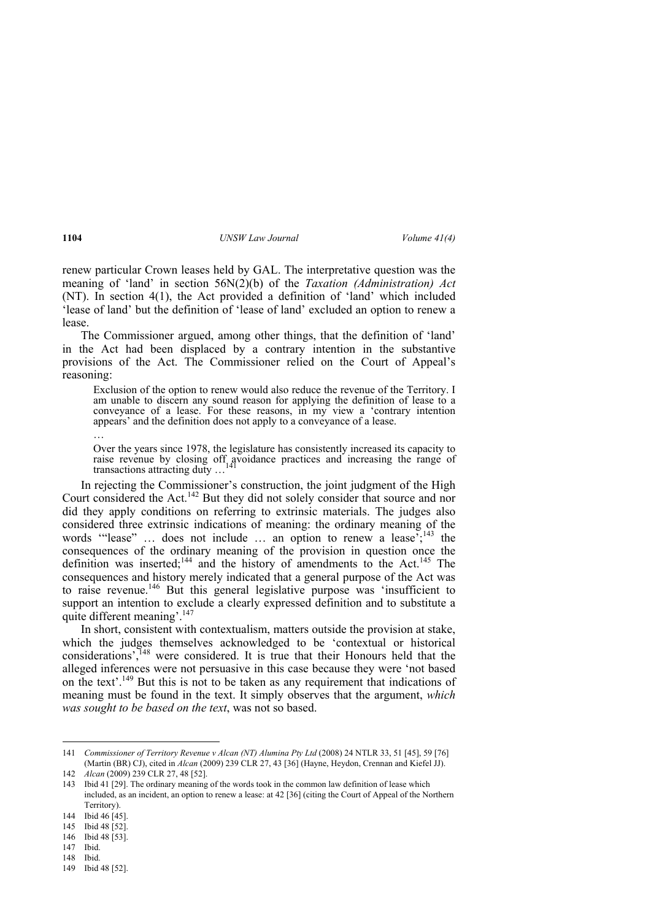renew particular Crown leases held by GAL. The interpretative question was the meaning of 'land' in section 56N(2)(b) of the *Taxation (Administration) Act*  (NT). In section 4(1), the Act provided a definition of 'land' which included 'lease of land' but the definition of 'lease of land' excluded an option to renew a lease.

The Commissioner argued, among other things, that the definition of 'land' in the Act had been displaced by a contrary intention in the substantive provisions of the Act. The Commissioner relied on the Court of Appeal's reasoning:

Exclusion of the option to renew would also reduce the revenue of the Territory. I am unable to discern any sound reason for applying the definition of lease to a conveyance of a lease. For these reasons, in my view a 'contrary intention appears' and the definition does not apply to a conveyance of a lease.

…

Over the years since 1978, the legislature has consistently increased its capacity to raise revenue by closing off avoidance practices and increasing the range of transactions attracting duty ...

In rejecting the Commissioner's construction, the joint judgment of the High Court considered the Act.<sup>142</sup> But they did not solely consider that source and nor did they apply conditions on referring to extrinsic materials. The judges also considered three extrinsic indications of meaning: the ordinary meaning of the words "lease" ... does not include ... an option to renew a lease<sup>7</sup>;<sup>143</sup> the consequences of the ordinary meaning of the provision in question once the definition was inserted;<sup>144</sup> and the history of amendments to the Act.<sup>145</sup> The consequences and history merely indicated that a general purpose of the Act was to raise revenue.<sup>146</sup> But this general legislative purpose was 'insufficient to support an intention to exclude a clearly expressed definition and to substitute a quite different meaning'.<sup>147</sup>

In short, consistent with contextualism, matters outside the provision at stake, which the judges themselves acknowledged to be 'contextual or historical considerations',<sup>148</sup> were considered. It is true that their Honours held that the alleged inferences were not persuasive in this case because they were 'not based on the text'.149 But this is not to be taken as any requirement that indications of meaning must be found in the text. It simply observes that the argument, *which was sought to be based on the text*, was not so based.

146 Ibid 48 [53].

148 Ibid.

<sup>141</sup> *Commissioner of Territory Revenue v Alcan (NT) Alumina Pty Ltd* (2008) 24 NTLR 33, 51 [45], 59 [76] (Martin (BR) CJ), cited in *Alcan* (2009) 239 CLR 27, 43 [36] (Hayne, Heydon, Crennan and Kiefel JJ). 142 *Alcan* (2009) 239 CLR 27, 48 [52].

<sup>143</sup> Ibid 41 [29]. The ordinary meaning of the words took in the common law definition of lease which included, as an incident, an option to renew a lease: at 42 [36] (citing the Court of Appeal of the Northern Territory).

<sup>144</sup> Ibid 46 [45].

<sup>145</sup> Ibid 48 [52].

<sup>147</sup> Ibid.

<sup>149</sup> Ibid 48 [52].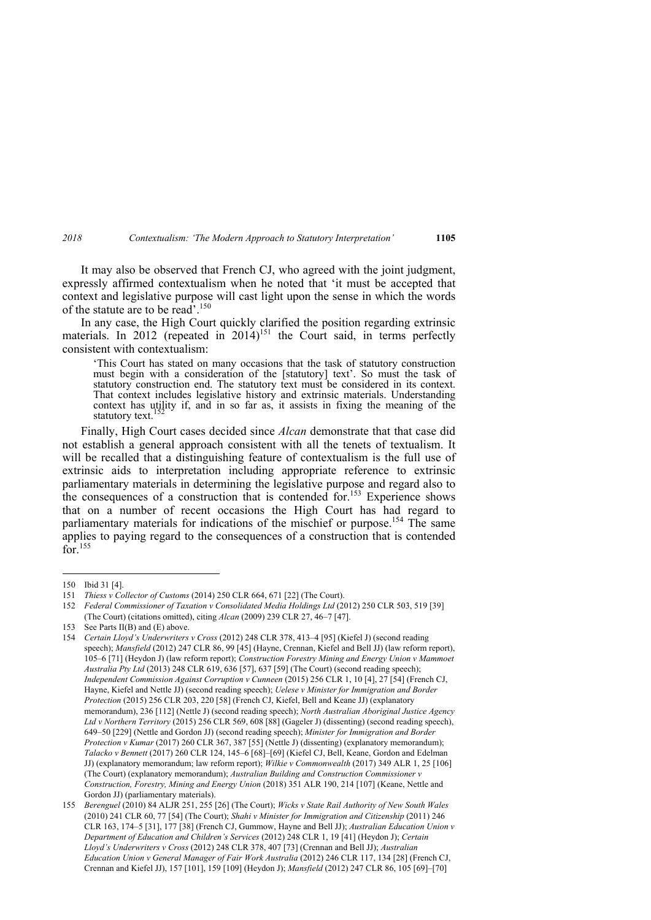It may also be observed that French CJ, who agreed with the joint judgment, expressly affirmed contextualism when he noted that 'it must be accepted that context and legislative purpose will cast light upon the sense in which the words of the statute are to be read'.<sup>150</sup>

In any case, the High Court quickly clarified the position regarding extrinsic materials. In  $2012$  (repeated in  $2014$ )<sup>151</sup> the Court said, in terms perfectly consistent with contextualism:

'This Court has stated on many occasions that the task of statutory construction must begin with a consideration of the [statutory] text'. So must the task of statutory construction end. The statutory text must be considered in its context. That context includes legislative history and extrinsic materials. Understanding context has utility if, and in so far as, it assists in fixing the meaning of the statutory text.

Finally, High Court cases decided since *Alcan* demonstrate that that case did not establish a general approach consistent with all the tenets of textualism. It will be recalled that a distinguishing feature of contextualism is the full use of extrinsic aids to interpretation including appropriate reference to extrinsic parliamentary materials in determining the legislative purpose and regard also to the consequences of a construction that is contended for.<sup>153</sup> Experience shows that on a number of recent occasions the High Court has had regard to parliamentary materials for indications of the mischief or purpose.<sup>154</sup> The same applies to paying regard to the consequences of a construction that is contended  $\widehat{\text{for}}$ <sup>155</sup>

<sup>150</sup> Ibid 31 [4].

<sup>151</sup> *Thiess v Collector of Customs* (2014) 250 CLR 664, 671 [22] (The Court).

<sup>152</sup> *Federal Commissioner of Taxation v Consolidated Media Holdings Ltd* (2012) 250 CLR 503, 519 [39] (The Court) (citations omitted), citing *Alcan* (2009) 239 CLR 27, 46–7 [47].

<sup>153</sup> See Parts II(B) and (E) above.

<sup>154</sup> *Certain Lloyd's Underwriters v Cross* (2012) 248 CLR 378, 413–4 [95] (Kiefel J) (second reading speech); *Mansfield* (2012) 247 CLR 86, 99 [45] (Hayne, Crennan, Kiefel and Bell JJ) (law reform report), 105–6 [71] (Heydon J) (law reform report); *Construction Forestry Mining and Energy Union v Mammoet Australia Pty Ltd* (2013) 248 CLR 619, 636 [57], 637 [59] (The Court) (second reading speech); *Independent Commission Against Corruption v Cunneen* (2015) 256 CLR 1, 10 [4], 27 [54] (French CJ, Hayne, Kiefel and Nettle JJ) (second reading speech); *Uelese v Minister for Immigration and Border Protection* (2015) 256 CLR 203, 220 [58] (French CJ, Kiefel, Bell and Keane JJ) (explanatory memorandum), 236 [112] (Nettle J) (second reading speech); *North Australian Aboriginal Justice Agency Ltd v Northern Territory* (2015) 256 CLR 569, 608 [88] (Gageler J) (dissenting) (second reading speech), 649–50 [229] (Nettle and Gordon JJ) (second reading speech); *Minister for Immigration and Border Protection v Kumar* (2017) 260 CLR 367, 387 [55] (Nettle J) (dissenting) (explanatory memorandum); *Talacko v Bennett* (2017) 260 CLR 124, 145–6 [68]–[69] (Kiefel CJ, Bell, Keane, Gordon and Edelman JJ) (explanatory memorandum; law reform report); *Wilkie v Commonwealth* (2017) 349 ALR 1, 25 [106] (The Court) (explanatory memorandum); *Australian Building and Construction Commissioner v Construction, Forestry, Mining and Energy Union* (2018) 351 ALR 190, 214 [107] (Keane, Nettle and Gordon JJ) (parliamentary materials).

<sup>155</sup> *Berenguel* (2010) 84 ALJR 251, 255 [26] (The Court); *Wicks v State Rail Authority of New South Wales* (2010) 241 CLR 60, 77 [54] (The Court); *Shahi v Minister for Immigration and Citizenship* (2011) 246 CLR 163, 174–5 [31], 177 [38] (French CJ, Gummow, Hayne and Bell JJ); *Australian Education Union v Department of Education and Children's Services* (2012) 248 CLR 1, 19 [41] (Heydon J); *Certain Lloyd's Underwriters v Cross* (2012) 248 CLR 378, 407 [73] (Crennan and Bell JJ); *Australian Education Union v General Manager of Fair Work Australia* (2012) 246 CLR 117, 134 [28] (French CJ, Crennan and Kiefel JJ), 157 [101], 159 [109] (Heydon J); *Mansfield* (2012) 247 CLR 86, 105 [69]–[70]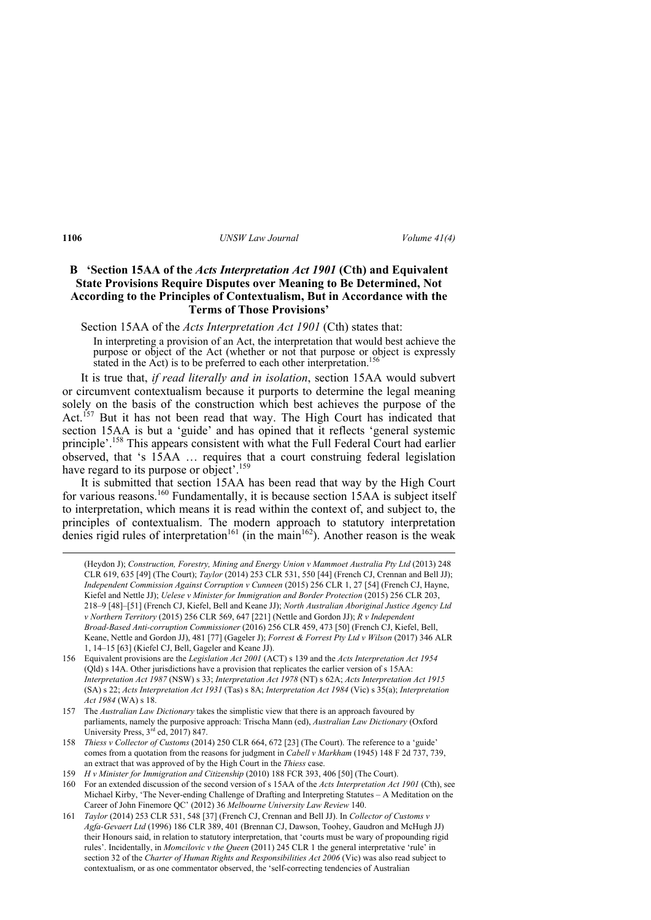### **B 'Section 15AA of the** *Acts Interpretation Act 1901* **(Cth) and Equivalent State Provisions Require Disputes over Meaning to Be Determined, Not According to the Principles of Contextualism, But in Accordance with the Terms of Those Provisions'**

Section 15AA of the *Acts Interpretation Act 1901* (Cth) states that:

In interpreting a provision of an Act, the interpretation that would best achieve the purpose or object of the Act (whether or not that purpose or object is expressly stated in the Act) is to be preferred to each other interpretation.<sup>156</sup>

It is true that, *if read literally and in isolation*, section 15AA would subvert or circumvent contextualism because it purports to determine the legal meaning solely on the basis of the construction which best achieves the purpose of the Act.<sup>157</sup> But it has not been read that way. The High Court has indicated that section 15AA is but a 'guide' and has opined that it reflects 'general systemic principle'.158 This appears consistent with what the Full Federal Court had earlier observed, that 's 15AA … requires that a court construing federal legislation have regard to its purpose or object'.<sup>159</sup>

It is submitted that section 15AA has been read that way by the High Court for various reasons.<sup>160</sup> Fundamentally, it is because section  $15AA$  is subject itself to interpretation, which means it is read within the context of, and subject to, the principles of contextualism. The modern approach to statutory interpretation denies rigid rules of interpretation<sup>161</sup> (in the main<sup>162</sup>). Another reason is the weak

<u> Andrewski politika (za obrazu za obrazu za obrazu za obrazu za obrazu za obrazu za obrazu za obrazu za obrazu</u>

<sup>(</sup>Heydon J); *Construction, Forestry, Mining and Energy Union v Mammoet Australia Pty Ltd* (2013) 248 CLR 619, 635 [49] (The Court); *Taylor* (2014) 253 CLR 531, 550 [44] (French CJ, Crennan and Bell JJ); *Independent Commission Against Corruption v Cunneen* (2015) 256 CLR 1, 27 [54] (French CJ, Hayne, Kiefel and Nettle JJ); *Uelese v Minister for Immigration and Border Protection* (2015) 256 CLR 203, 218–9 [48]–[51] (French CJ, Kiefel, Bell and Keane JJ); *North Australian Aboriginal Justice Agency Ltd v Northern Territory* (2015) 256 CLR 569, 647 [221] (Nettle and Gordon JJ); *R v Independent Broad-Based Anti-corruption Commissioner* (2016) 256 CLR 459, 473 [50] (French CJ, Kiefel, Bell, Keane, Nettle and Gordon JJ), 481 [77] (Gageler J); *Forrest & Forrest Pty Ltd v Wilson* (2017) 346 ALR 1, 14–15 [63] (Kiefel CJ, Bell, Gageler and Keane JJ).

<sup>156</sup> Equivalent provisions are the *Legislation Act 2001* (ACT) s 139 and the *Acts Interpretation Act 1954* (Qld) s 14A. Other jurisdictions have a provision that replicates the earlier version of s 15AA: *Interpretation Act 1987* (NSW) s 33; *Interpretation Act 1978* (NT) s 62A; *Acts Interpretation Act 1915* (SA) s 22; *Acts Interpretation Act 1931* (Tas) s 8A; *Interpretation Act 1984* (Vic) s 35(a); *Interpretation Act 1984* (WA) s 18.

<sup>157</sup> The *Australian Law Dictionary* takes the simplistic view that there is an approach favoured by parliaments, namely the purposive approach: Trischa Mann (ed), *Australian Law Dictionary* (Oxford University Press,  $3<sup>rd</sup>$  ed, 2017) 847.

<sup>158</sup> *Thiess v Collector of Customs* (2014) 250 CLR 664, 672 [23] (The Court). The reference to a 'guide' comes from a quotation from the reasons for judgment in *Cabell v Markham* (1945) 148 F 2d 737, 739, an extract that was approved of by the High Court in the *Thiess* case.

<sup>159</sup> *H v Minister for Immigration and Citizenship* (2010) 188 FCR 393, 406 [50] (The Court).

<sup>160</sup> For an extended discussion of the second version of s 15AA of the *Acts Interpretation Act 1901* (Cth), see Michael Kirby, 'The Never-ending Challenge of Drafting and Interpreting Statutes – A Meditation on the Career of John Finemore QC' (2012) 36 *Melbourne University Law Review* 140.

<sup>161</sup> *Taylor* (2014) 253 CLR 531, 548 [37] (French CJ, Crennan and Bell JJ). In *Collector of Customs v Agfa-Gevaert Ltd* (1996) 186 CLR 389, 401 (Brennan CJ, Dawson, Toohey, Gaudron and McHugh JJ) their Honours said, in relation to statutory interpretation, that 'courts must be wary of propounding rigid rules'. Incidentally, in *Momcilovic v the Queen* (2011) 245 CLR 1 the general interpretative 'rule' in section 32 of the *Charter of Human Rights and Responsibilities Act 2006* (Vic) was also read subject to contextualism, or as one commentator observed, the 'self-correcting tendencies of Australian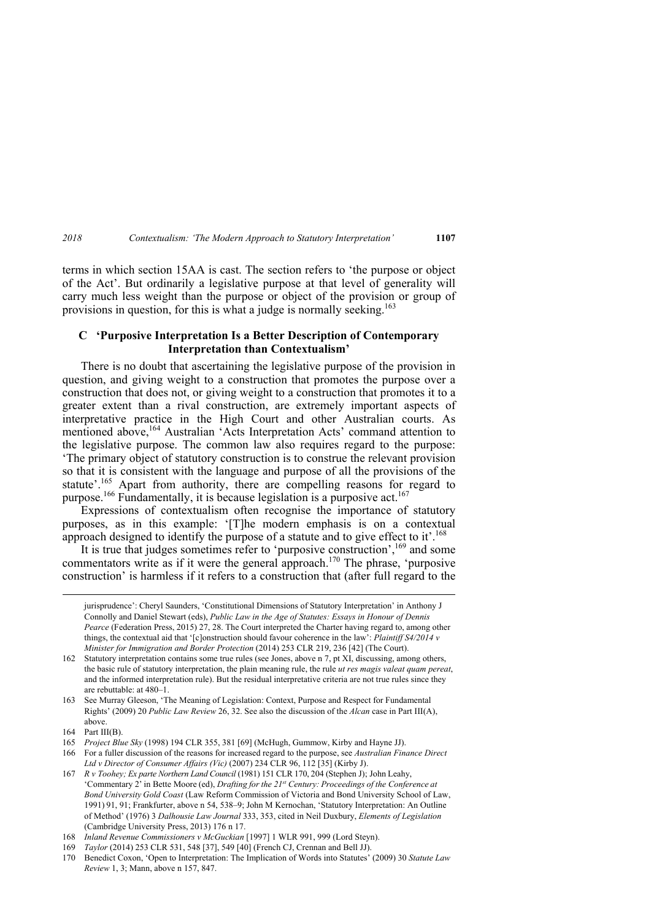terms in which section 15AA is cast. The section refers to 'the purpose or object of the Act'. But ordinarily a legislative purpose at that level of generality will carry much less weight than the purpose or object of the provision or group of provisions in question, for this is what a judge is normally seeking.<sup>163</sup>

#### **C 'Purposive Interpretation Is a Better Description of Contemporary Interpretation than Contextualism'**

There is no doubt that ascertaining the legislative purpose of the provision in question, and giving weight to a construction that promotes the purpose over a construction that does not, or giving weight to a construction that promotes it to a greater extent than a rival construction, are extremely important aspects of interpretative practice in the High Court and other Australian courts. As mentioned above,<sup>164</sup> Australian 'Acts Interpretation Acts' command attention to the legislative purpose. The common law also requires regard to the purpose: 'The primary object of statutory construction is to construe the relevant provision so that it is consistent with the language and purpose of all the provisions of the statute'.<sup>165</sup> Apart from authority, there are compelling reasons for regard to purpose.<sup>166</sup> Fundamentally, it is because legislation is a purposive act.<sup>167</sup>

Expressions of contextualism often recognise the importance of statutory purposes, as in this example: '[T]he modern emphasis is on a contextual approach designed to identify the purpose of a statute and to give effect to it'.<sup>168</sup>

It is true that judges sometimes refer to 'purposive construction',<sup>169</sup> and some commentators write as if it were the general approach.<sup>170</sup> The phrase, 'purposive construction' is harmless if it refers to a construction that (after full regard to the

<u> Andrewski politika (za obrazu za obrazu za obrazu za obrazu za obrazu za obrazu za obrazu za obrazu za obrazu</u>

jurisprudence': Cheryl Saunders, 'Constitutional Dimensions of Statutory Interpretation' in Anthony J Connolly and Daniel Stewart (eds), *Public Law in the Age of Statutes: Essays in Honour of Dennis Pearce* (Federation Press, 2015) 27, 28. The Court interpreted the Charter having regard to, among other things, the contextual aid that '[c]onstruction should favour coherence in the law': *Plaintiff S4/2014 v Minister for Immigration and Border Protection* (2014) 253 CLR 219, 236 [42] (The Court).

<sup>162</sup> Statutory interpretation contains some true rules (see Jones, above n 7, pt XI, discussing, among others, the basic rule of statutory interpretation, the plain meaning rule, the rule *ut res magis valeat quam pereat*, and the informed interpretation rule). But the residual interpretative criteria are not true rules since they are rebuttable: at 480–1.

<sup>163</sup> See Murray Gleeson, 'The Meaning of Legislation: Context, Purpose and Respect for Fundamental Rights' (2009) 20 *Public Law Review* 26, 32. See also the discussion of the *Alcan* case in Part III(A), above.

 $164$  Part III(B).

<sup>165</sup> *Project Blue Sky* (1998) 194 CLR 355, 381 [69] (McHugh, Gummow, Kirby and Hayne JJ).

<sup>166</sup> For a fuller discussion of the reasons for increased regard to the purpose, see *Australian Finance Direct Ltd v Director of Consumer Affairs (Vic)* (2007) 234 CLR 96, 112 [35] (Kirby J).

<sup>167</sup> *R v Toohey; Ex parte Northern Land Council* (1981) 151 CLR 170, 204 (Stephen J); John Leahy, 'Commentary 2' in Bette Moore (ed), *Drafting for the 21st Century: Proceedings of the Conference at Bond University Gold Coast* (Law Reform Commission of Victoria and Bond University School of Law, 1991) 91, 91; Frankfurter, above n 54, 538–9; John M Kernochan, 'Statutory Interpretation: An Outline of Method' (1976) 3 *Dalhousie Law Journal* 333, 353, cited in Neil Duxbury, *Elements of Legislation*  (Cambridge University Press, 2013) 176 n 17.

<sup>168</sup> *Inland Revenue Commissioners v McGuckian* [1997] 1 WLR 991, 999 (Lord Steyn).

<sup>169</sup> *Taylor* (2014) 253 CLR 531, 548 [37], 549 [40] (French CJ, Crennan and Bell JJ).

<sup>170</sup> Benedict Coxon, 'Open to Interpretation: The Implication of Words into Statutes' (2009) 30 *Statute Law Review* 1, 3; Mann, above n 157, 847.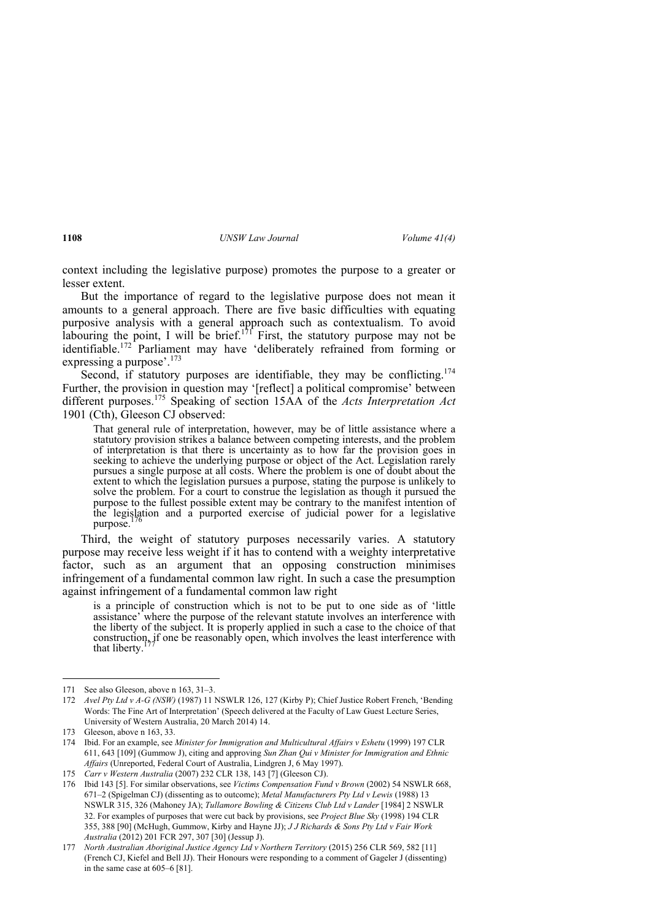context including the legislative purpose) promotes the purpose to a greater or lesser extent.

But the importance of regard to the legislative purpose does not mean it amounts to a general approach. There are five basic difficulties with equating purposive analysis with a general approach such as contextualism. To avoid labouring the point, I will be brief.<sup>171</sup> First, the statutory purpose may not be identifiable.<sup>172</sup> Parliament may have 'deliberately refrained from forming or expressing a purpose'.<sup>173</sup>

Second, if statutory purposes are identifiable, they may be conflicting.  $1/4$ Further, the provision in question may '[reflect] a political compromise' between different purposes.175 Speaking of section 15AA of the *Acts Interpretation Act* 1901 (Cth), Gleeson CJ observed:

That general rule of interpretation, however, may be of little assistance where a statutory provision strikes a balance between competing interests, and the problem of interpretation is that there is uncertainty as to how far the provision goes in seeking to achieve the underlying purpose or object of the Act. Legislation rarely pursues a single purpose at all costs. Where the problem is one of doubt about the extent to which the legislation pursues a purpose, stating the purpose is unlikely to solve the problem. For a court to construe the legislation as though it pursued the purpose to the fullest possible extent may be contrary to the manifest intention of the legislation and a purported exercise of judicial power for a legislative purpose.

Third, the weight of statutory purposes necessarily varies. A statutory purpose may receive less weight if it has to contend with a weighty interpretative factor, such as an argument that an opposing construction minimises infringement of a fundamental common law right. In such a case the presumption against infringement of a fundamental common law right

is a principle of construction which is not to be put to one side as of 'little assistance' where the purpose of the relevant statute involves an interference with the liberty of the subject. It is properly applied in such a case to the choice of that construction, if one be reasonably open, which involves the least interference with that liberty.

 171 See also Gleeson, above n 163, 31–3.

<sup>172</sup> *Avel Pty Ltd v A-G (NSW)* (1987) 11 NSWLR 126, 127 (Kirby P); Chief Justice Robert French, 'Bending Words: The Fine Art of Interpretation' (Speech delivered at the Faculty of Law Guest Lecture Series, University of Western Australia, 20 March 2014) 14.

<sup>173</sup> Gleeson, above n 163, 33.

<sup>174</sup> Ibid. For an example, see *Minister for Immigration and Multicultural Affairs v Eshetu* (1999) 197 CLR 611, 643 [109] (Gummow J), citing and approving *Sun Zhan Qui v Minister for Immigration and Ethnic Affairs* (Unreported, Federal Court of Australia, Lindgren J, 6 May 1997).

<sup>175</sup> *Carr v Western Australia* (2007) 232 CLR 138, 143 [7] (Gleeson CJ).

<sup>176</sup> Ibid 143 [5]. For similar observations, see *Victims Compensation Fund v Brown* (2002) 54 NSWLR 668, 671–2 (Spigelman CJ) (dissenting as to outcome); *Metal Manufacturers Pty Ltd v Lewis* (1988) 13 NSWLR 315, 326 (Mahoney JA); *Tullamore Bowling & Citizens Club Ltd v Lander* [1984] 2 NSWLR 32. For examples of purposes that were cut back by provisions, see *Project Blue Sky* (1998) 194 CLR 355, 388 [90] (McHugh, Gummow, Kirby and Hayne JJ); *J J Richards & Sons Pty Ltd v Fair Work Australia* (2012) 201 FCR 297, 307 [30] (Jessup J).

<sup>177</sup> *North Australian Aboriginal Justice Agency Ltd v Northern Territory* (2015) 256 CLR 569, 582 [11] (French CJ, Kiefel and Bell JJ). Their Honours were responding to a comment of Gageler J (dissenting) in the same case at 605–6 [81].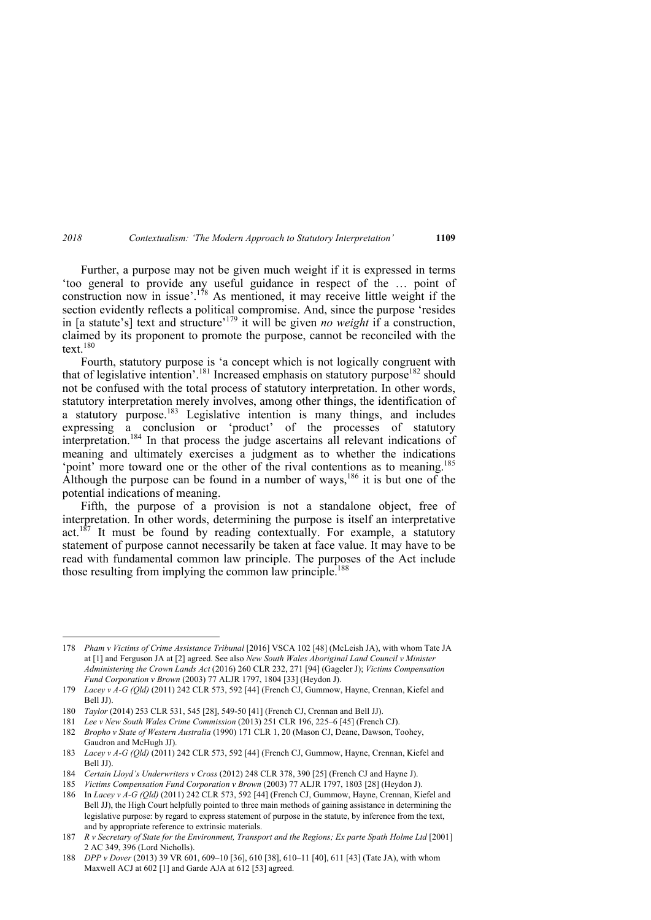Further, a purpose may not be given much weight if it is expressed in terms 'too general to provide any useful guidance in respect of the … point of construction now in issue'.<sup>178</sup> As mentioned, it may receive little weight if the section evidently reflects a political compromise. And, since the purpose 'resides in [a statute's] text and structure'179 it will be given *no weight* if a construction, claimed by its proponent to promote the purpose, cannot be reconciled with the text. $180$ 

Fourth, statutory purpose is 'a concept which is not logically congruent with that of legislative intention'.<sup>181</sup> Increased emphasis on statutory purpose<sup>182</sup> should not be confused with the total process of statutory interpretation. In other words, statutory interpretation merely involves, among other things, the identification of a statutory purpose.<sup>183</sup> Legislative intention is many things, and includes expressing a conclusion or 'product' of the processes of statutory interpretation.184 In that process the judge ascertains all relevant indications of meaning and ultimately exercises a judgment as to whether the indications 'point' more toward one or the other of the rival contentions as to meaning.<sup>185</sup> Although the purpose can be found in a number of ways,  $186$  it is but one of the potential indications of meaning.

Fifth, the purpose of a provision is not a standalone object, free of interpretation. In other words, determining the purpose is itself an interpretative act.<sup>187</sup> It must be found by reading contextually. For example, a statutory statement of purpose cannot necessarily be taken at face value. It may have to be read with fundamental common law principle. The purposes of the Act include those resulting from implying the common law principle.<sup>188</sup>

<sup>178</sup> *Pham v Victims of Crime Assistance Tribunal* [2016] VSCA 102 [48] (McLeish JA), with whom Tate JA at [1] and Ferguson JA at [2] agreed. See also *New South Wales Aboriginal Land Council v Minister Administering the Crown Lands Act* (2016) 260 CLR 232, 271 [94] (Gageler J); *Victims Compensation Fund Corporation v Brown* (2003) 77 ALJR 1797, 1804 [33] (Heydon J).

<sup>179</sup> *Lacey v A-G (Qld)* (2011) 242 CLR 573, 592 [44] (French CJ, Gummow, Hayne, Crennan, Kiefel and Bell JJ).

<sup>180</sup> *Taylor* (2014) 253 CLR 531, 545 [28], 549-50 [41] (French CJ, Crennan and Bell JJ).

<sup>181</sup> *Lee v New South Wales Crime Commission* (2013) 251 CLR 196, 225–6 [45] (French CJ).

<sup>182</sup> *Bropho v State of Western Australia* (1990) 171 CLR 1, 20 (Mason CJ, Deane, Dawson, Toohey, Gaudron and McHugh JJ).

<sup>183</sup> *Lacey v A-G (Qld)* (2011) 242 CLR 573, 592 [44] (French CJ, Gummow, Hayne, Crennan, Kiefel and Bell JJ).

<sup>184</sup> *Certain Lloyd's Underwriters v Cross* (2012) 248 CLR 378, 390 [25] (French CJ and Hayne J).

<sup>185</sup> *Victims Compensation Fund Corporation v Brown* (2003) 77 ALJR 1797, 1803 [28] (Heydon J).

<sup>186</sup> In *Lacey v A-G (Qld)* (2011) 242 CLR 573, 592 [44] (French CJ, Gummow, Hayne, Crennan, Kiefel and Bell JJ), the High Court helpfully pointed to three main methods of gaining assistance in determining the legislative purpose: by regard to express statement of purpose in the statute, by inference from the text, and by appropriate reference to extrinsic materials.

<sup>187</sup> *R v Secretary of State for the Environment, Transport and the Regions; Ex parte Spath Holme Ltd* [2001] 2 AC 349, 396 (Lord Nicholls).

<sup>188</sup> *DPP v Dover* (2013) 39 VR 601, 609–10 [36], 610 [38], 610–11 [40], 611 [43] (Tate JA), with whom Maxwell ACJ at 602 [1] and Garde AJA at 612 [53] agreed.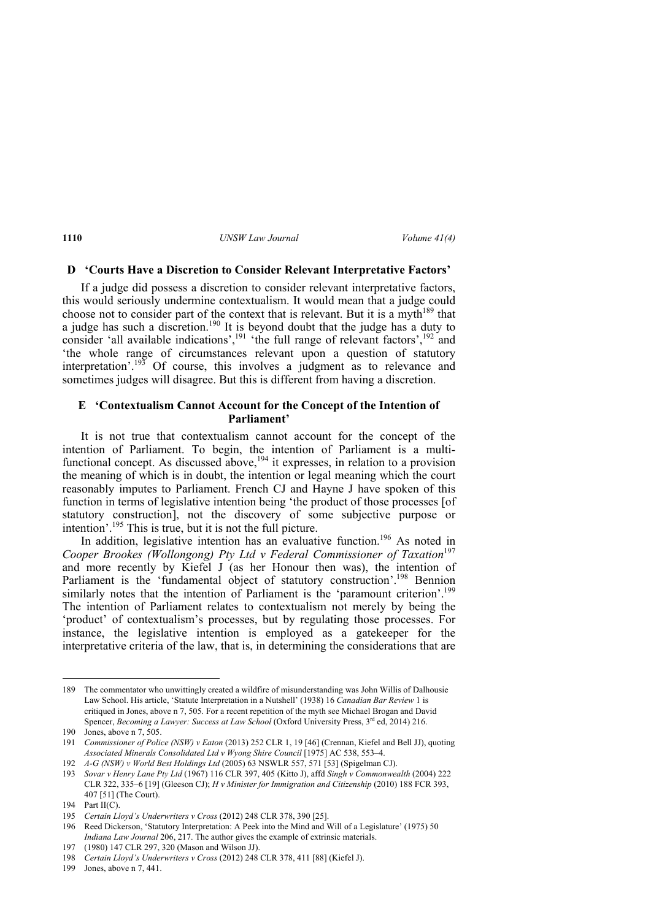## **D 'Courts Have a Discretion to Consider Relevant Interpretative Factors'**

If a judge did possess a discretion to consider relevant interpretative factors, this would seriously undermine contextualism. It would mean that a judge could choose not to consider part of the context that is relevant. But it is a myth<sup>189</sup> that a judge has such a discretion.<sup>190</sup> It is beyond doubt that the judge has a duty to consider 'all available indications', $191$  'the full range of relevant factors', $192$  and 'the whole range of circumstances relevant upon a question of statutory interpretation'.<sup>193</sup> Of course, this involves a judgment as to relevance and sometimes judges will disagree. But this is different from having a discretion.

#### **E 'Contextualism Cannot Account for the Concept of the Intention of Parliament'**

It is not true that contextualism cannot account for the concept of the intention of Parliament. To begin, the intention of Parliament is a multifunctional concept. As discussed above,  $194$  it expresses, in relation to a provision the meaning of which is in doubt, the intention or legal meaning which the court reasonably imputes to Parliament. French CJ and Hayne J have spoken of this function in terms of legislative intention being 'the product of those processes [of statutory construction], not the discovery of some subjective purpose or intention'.195 This is true, but it is not the full picture.

In addition, legislative intention has an evaluative function.<sup>196</sup> As noted in *Cooper Brookes (Wollongong) Pty Ltd v Federal Commissioner of Taxation*<sup>197</sup> and more recently by Kiefel J (as her Honour then was), the intention of Parliament is the 'fundamental object of statutory construction'.<sup>198</sup> Bennion similarly notes that the intention of Parliament is the 'paramount criterion'.<sup>199</sup> The intention of Parliament relates to contextualism not merely by being the 'product' of contextualism's processes, but by regulating those processes. For instance, the legislative intention is employed as a gatekeeper for the interpretative criteria of the law, that is, in determining the considerations that are

<sup>189</sup> The commentator who unwittingly created a wildfire of misunderstanding was John Willis of Dalhousie Law School. His article, 'Statute Interpretation in a Nutshell' (1938) 16 *Canadian Bar Review* 1 is critiqued in Jones, above n 7, 505. For a recent repetition of the myth see Michael Brogan and David Spencer, *Becoming a Lawyer: Success at Law School* (Oxford University Press, 3<sup>rd</sup> ed, 2014) 216.

<sup>190</sup> Jones, above n 7, 505.

<sup>191</sup> *Commissioner of Police (NSW) v Eaton* (2013) 252 CLR 1, 19 [46] (Crennan, Kiefel and Bell JJ), quoting *Associated Minerals Consolidated Ltd v Wyong Shire Council* [1975] AC 538, 553–4.

<sup>192</sup> *A-G (NSW) v World Best Holdings Ltd* (2005) 63 NSWLR 557, 571 [53] (Spigelman CJ).

<sup>193</sup> *Sovar v Henry Lane Pty Ltd* (1967) 116 CLR 397, 405 (Kitto J), affd *Singh v Commonwealth* (2004) 222 CLR 322, 335–6 [19] (Gleeson CJ); *H v Minister for Immigration and Citizenship* (2010) 188 FCR 393, 407 [51] (The Court).

<sup>194</sup> Part II(C).

<sup>195</sup> *Certain Lloyd's Underwriters v Cross* (2012) 248 CLR 378, 390 [25].

<sup>196</sup> Reed Dickerson, 'Statutory Interpretation: A Peek into the Mind and Will of a Legislature' (1975) 50 *Indiana Law Journal* 206, 217. The author gives the example of extrinsic materials.

<sup>197 (1980) 147</sup> CLR 297, 320 (Mason and Wilson JJ).

<sup>198</sup> *Certain Lloyd's Underwriters v Cross* (2012) 248 CLR 378, 411 [88] (Kiefel J).

<sup>199</sup> Jones, above n 7, 441.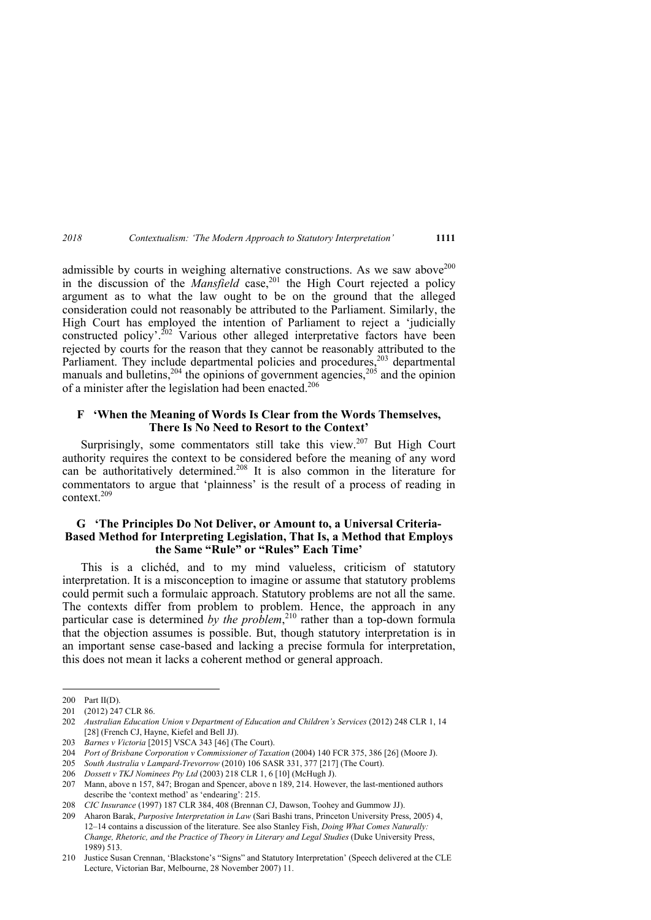admissible by courts in weighing alternative constructions. As we saw above<sup>200</sup> in the discussion of the *Mansfield* case,<sup>201</sup> the High Court rejected a policy argument as to what the law ought to be on the ground that the alleged consideration could not reasonably be attributed to the Parliament. Similarly, the High Court has employed the intention of Parliament to reject a 'judicially constructed policy'.<sup>202</sup> Various other alleged interpretative factors have been rejected by courts for the reason that they cannot be reasonably attributed to the Parliament. They include departmental policies and procedures, $203$  departmental manuals and bulletins,<sup>204</sup> the opinions of government agencies,<sup>205</sup> and the opinion of a minister after the legislation had been enacted.<sup>206</sup>

#### **F 'When the Meaning of Words Is Clear from the Words Themselves, There Is No Need to Resort to the Context'**

Surprisingly, some commentators still take this view.<sup>207</sup> But High Court authority requires the context to be considered before the meaning of any word can be authoritatively determined.208 It is also common in the literature for commentators to argue that 'plainness' is the result of a process of reading in context. $209$ 

## **G 'The Principles Do Not Deliver, or Amount to, a Universal Criteria-Based Method for Interpreting Legislation, That Is, a Method that Employs the Same "Rule" or "Rules" Each Time'**

This is a clichéd, and to my mind valueless, criticism of statutory interpretation. It is a misconception to imagine or assume that statutory problems could permit such a formulaic approach. Statutory problems are not all the same. The contexts differ from problem to problem. Hence, the approach in any particular case is determined by the problem,<sup>210</sup> rather than a top-down formula that the objection assumes is possible. But, though statutory interpretation is in an important sense case-based and lacking a precise formula for interpretation, this does not mean it lacks a coherent method or general approach.

<sup>200</sup> Part II(D).

<sup>201 (2012) 247</sup> CLR 86.

<sup>202</sup> *Australian Education Union v Department of Education and Children's Services* (2012) 248 CLR 1, 14 [28] (French CJ, Hayne, Kiefel and Bell JJ).

<sup>203</sup> *Barnes v Victoria* [2015] VSCA 343 [46] (The Court).

<sup>204</sup> *Port of Brisbane Corporation v Commissioner of Taxation* (2004) 140 FCR 375, 386 [26] (Moore J).

<sup>205</sup> *South Australia v Lampard-Trevorrow* (2010) 106 SASR 331, 377 [217] (The Court).

<sup>206</sup> *Dossett v TKJ Nominees Pty Ltd* (2003) 218 CLR 1, 6 [10] (McHugh J).

<sup>207</sup> Mann, above n 157, 847; Brogan and Spencer, above n 189, 214. However, the last-mentioned authors describe the 'context method' as 'endearing': 215.

<sup>208</sup> *CIC Insurance* (1997) 187 CLR 384, 408 (Brennan CJ, Dawson, Toohey and Gummow JJ).

<sup>209</sup> Aharon Barak, *Purposive Interpretation in Law* (Sari Bashi trans, Princeton University Press, 2005) 4, 12–14 contains a discussion of the literature. See also Stanley Fish, *Doing What Comes Naturally: Change, Rhetoric, and the Practice of Theory in Literary and Legal Studies (Duke University Press,* 1989) 513.

<sup>210</sup> Justice Susan Crennan, 'Blackstone's "Signs" and Statutory Interpretation' (Speech delivered at the CLE Lecture, Victorian Bar, Melbourne, 28 November 2007) 11.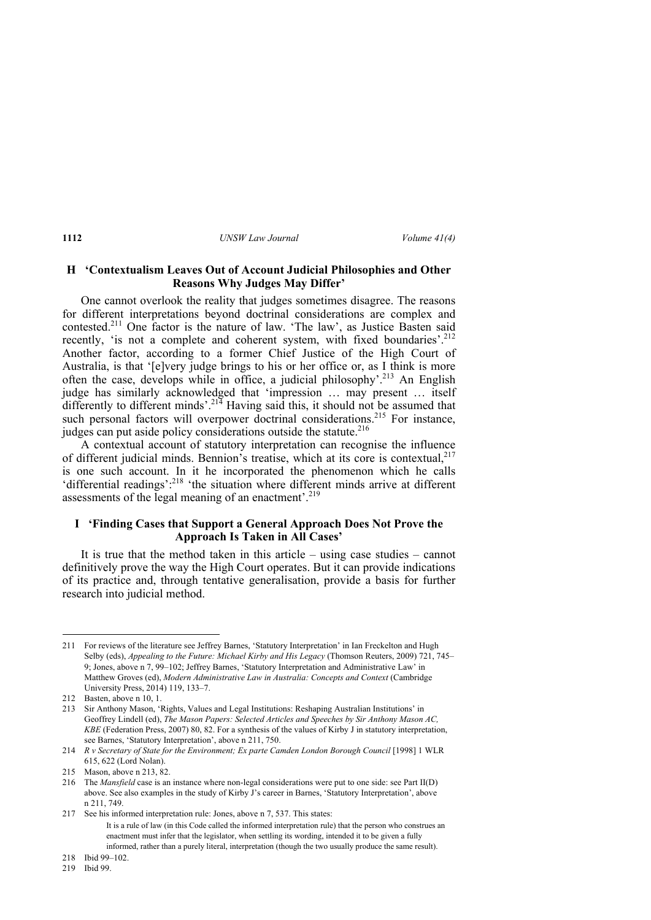#### **H 'Contextualism Leaves Out of Account Judicial Philosophies and Other Reasons Why Judges May Differ'**

One cannot overlook the reality that judges sometimes disagree. The reasons for different interpretations beyond doctrinal considerations are complex and contested.211 One factor is the nature of law. 'The law', as Justice Basten said recently, 'is not a complete and coherent system, with fixed boundaries'.<sup>212</sup> Another factor, according to a former Chief Justice of the High Court of Australia, is that '[e]very judge brings to his or her office or, as I think is more often the case, develops while in office, a judicial philosophy'.<sup>213</sup> An English judge has similarly acknowledged that 'impression … may present … itself differently to different minds'.<sup>214</sup> Having said this, it should not be assumed that such personal factors will overpower doctrinal considerations.<sup>215</sup> For instance, judges can put aside policy considerations outside the statute.<sup>216</sup>

A contextual account of statutory interpretation can recognise the influence of different judicial minds. Bennion's treatise, which at its core is contextual.<sup>217</sup> is one such account. In it he incorporated the phenomenon which he calls 'differential readings': $^{218}$  'the situation where different minds arrive at different assessments of the legal meaning of an enactment'.<sup>219</sup>

### **I 'Finding Cases that Support a General Approach Does Not Prove the Approach Is Taken in All Cases'**

It is true that the method taken in this article – using case studies – cannot definitively prove the way the High Court operates. But it can provide indications of its practice and, through tentative generalisation, provide a basis for further research into judicial method.

<sup>211</sup> For reviews of the literature see Jeffrey Barnes, 'Statutory Interpretation' in Ian Freckelton and Hugh Selby (eds), *Appealing to the Future: Michael Kirby and His Legacy* (Thomson Reuters, 2009) 721, 745– 9; Jones, above n 7, 99–102; Jeffrey Barnes, 'Statutory Interpretation and Administrative Law' in Matthew Groves (ed), *Modern Administrative Law in Australia: Concepts and Context* (Cambridge) University Press, 2014) 119, 133–7.

<sup>212</sup> Basten, above n 10, 1.

<sup>213</sup> Sir Anthony Mason, 'Rights, Values and Legal Institutions: Reshaping Australian Institutions' in Geoffrey Lindell (ed), *The Mason Papers: Selected Articles and Speeches by Sir Anthony Mason AC, KBE* (Federation Press, 2007) 80, 82. For a synthesis of the values of Kirby J in statutory interpretation, see Barnes, 'Statutory Interpretation', above n 211, 750.

<sup>214</sup> *R v Secretary of State for the Environment; Ex parte Camden London Borough Council* [1998] 1 WLR 615, 622 (Lord Nolan).

<sup>215</sup> Mason, above n 213, 82.

<sup>216</sup> The *Mansfield* case is an instance where non-legal considerations were put to one side: see Part II(D) above. See also examples in the study of Kirby J's career in Barnes, 'Statutory Interpretation', above n 211, 749.

<sup>217</sup> See his informed interpretation rule: Jones, above n 7, 537. This states:

It is a rule of law (in this Code called the informed interpretation rule) that the person who construes an enactment must infer that the legislator, when settling its wording, intended it to be given a fully informed, rather than a purely literal, interpretation (though the two usually produce the same result).

<sup>218</sup> Ibid 99–102.

<sup>219</sup> Ibid 99.